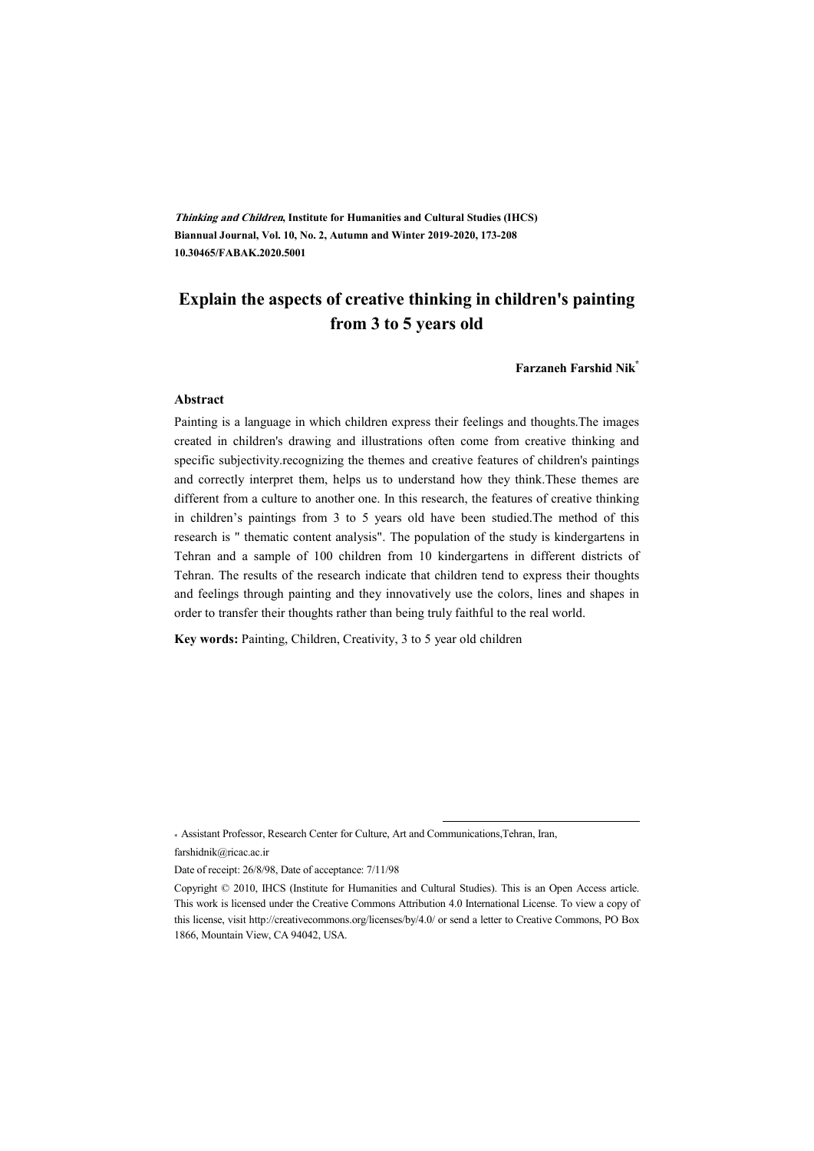**Thinking and Children, Institute for Humanities and Cultural Studies (IHCS) Biannual Journal, Vol. 10, No. 2, Autumn and Winter 2019-2020, 173-208 10.30465/FABAK.2020.5001** 

### **Explain the aspects of creative thinking in children's painting from 3 to 5 years old**

**Farzaneh Farshid Nik\***

#### **Abstract**

Painting is a language in which children express their feelings and thoughts.The images created in children's drawing and illustrations often come from creative thinking and specific subjectivity.recognizing the themes and creative features of children's paintings and correctly interpret them, helps us to understand how they think.These themes are different from a culture to another one. In this research, the features of creative thinking in children's paintings from 3 to 5 years old have been studied.The method of this research is " thematic content analysis". The population of the study is kindergartens in Tehran and a sample of 100 children from 10 kindergartens in different districts of Tehran. The results of the research indicate that children tend to express their thoughts and feelings through painting and they innovatively use the colors, lines and shapes in order to transfer their thoughts rather than being truly faithful to the real world.

**Key words:** Painting, Children, Creativity, 3 to 5 year old children

\* Assistant Professor, Research Center for Culture, Art and Communications,Tehran, Iran,

farshidnik@ricac.ac.ir

Date of receipt: 26/8/98, Date of acceptance: 7/11/98

:

Copyright © 2010, IHCS (Institute for Humanities and Cultural Studies). This is an Open Access article. This work is licensed under the Creative Commons Attribution 4.0 International License. To view a copy of this license, visit http://creativecommons.org/licenses/by/4.0/ or send a letter to Creative Commons, PO Box 1866, Mountain View, CA 94042, USA.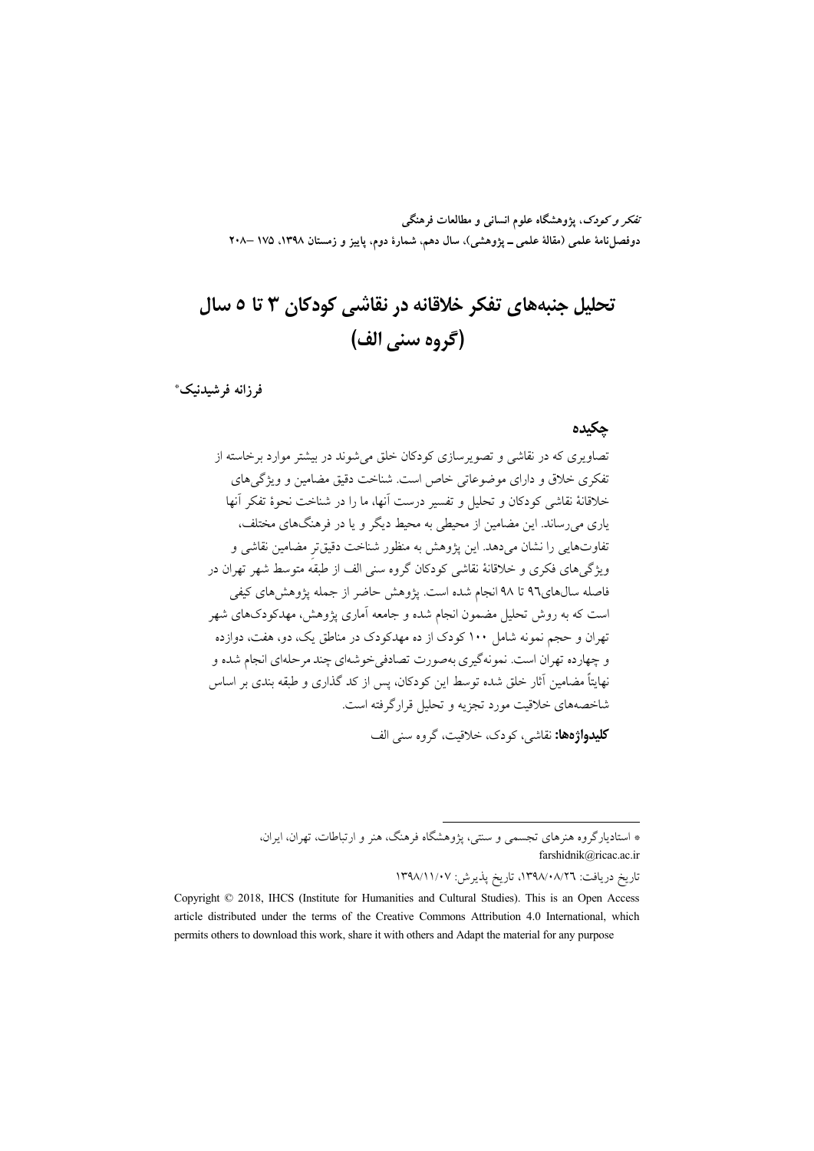تف*کر و کودک*، یژوهشگاه علوم انسان<sub>ی</sub> و مطالعات فرهنگی دوفصل نامهٔ علمی (مقالهٔ علمی \_ یژوهشی)، سال دهم، شمارهٔ دوم، پاییز و زمستان ۱۳۹۸، ۱۷۵ –۲۰۸

# تحلیل جنبههای تفکر خلاقانه در نقاشی کودکان ۳ تا ۵ سال (گروه سني الف)

فرزانه فرشيدنيك\*

#### حكىدە

تصاویری که در نقاشی و تصویرسازی کودکان خلق می شوند در بیشتر موارد برخاسته از تفکری خلاق و دارای موضوعاتی خاص است. شناخت دقیق مضامین و ویژگم های خلاقانهٔ نقاشی کودکان و تحلیل و تفسیر درست آنها، ما را در شناخت نحوهٔ تفکر آنها یاری می رساند. این مضامین از محیطی به محیط دیگر و یا در فرهنگهای مختلف، تفاوتهايي را نشان مي دهد. اين يؤوهش به منظور شناخت دقيقتر مضامين نقاشي و ویژگیهای فکری و خلاقانهٔ نقاشی کودکان گروه سنی الف از طبقه متوسط شهر تهران در فاصله سالهای٩٦ تا ٩٨ انجام شده است. يژوهش حاضر از جمله يژوهشهای کيفي است که به روش تحلیل مضمون انجام شده و جامعه آماری پژوهش، مهدکودکهای شهر تهران و حجم نمونه شامل ۱۰۰ کودک از ده مهدکودک در مناطق یک، دو، هفت، دوازده و چهارده تهران است. نمونهگیری بهصورت تصادفی خوشهای چند مرحلهای انجام شده و نهایتاً مضامین آثار خلق شده توسط این کودکان، پس از کد گذاری و طبقه بندی بر اساس شاخصههای خلاقیت مورد تجزیه و تحلیل قرارگرفته است.

**کلیدواژهها:** نقاشی، کودک، خلاقیت، گروه سنی الف

تاريخ دريافت: ١٣٩٨/٠٨/٢٦، تاريخ يذيرش: ١٣٩٨/١١/٠٧

<sup>\*</sup> استادیارگروه هنرهای تجسمی و سنتی، پژوهشگاه فرهنگ، هنر و ارتباطات، تهران، ایران، farshidnik@ricac.ac.ir

Copyright © 2018, IHCS (Institute for Humanities and Cultural Studies). This is an Open Access article distributed under the terms of the Creative Commons Attribution 4.0 International, which permits others to download this work, share it with others and Adapt the material for any purpose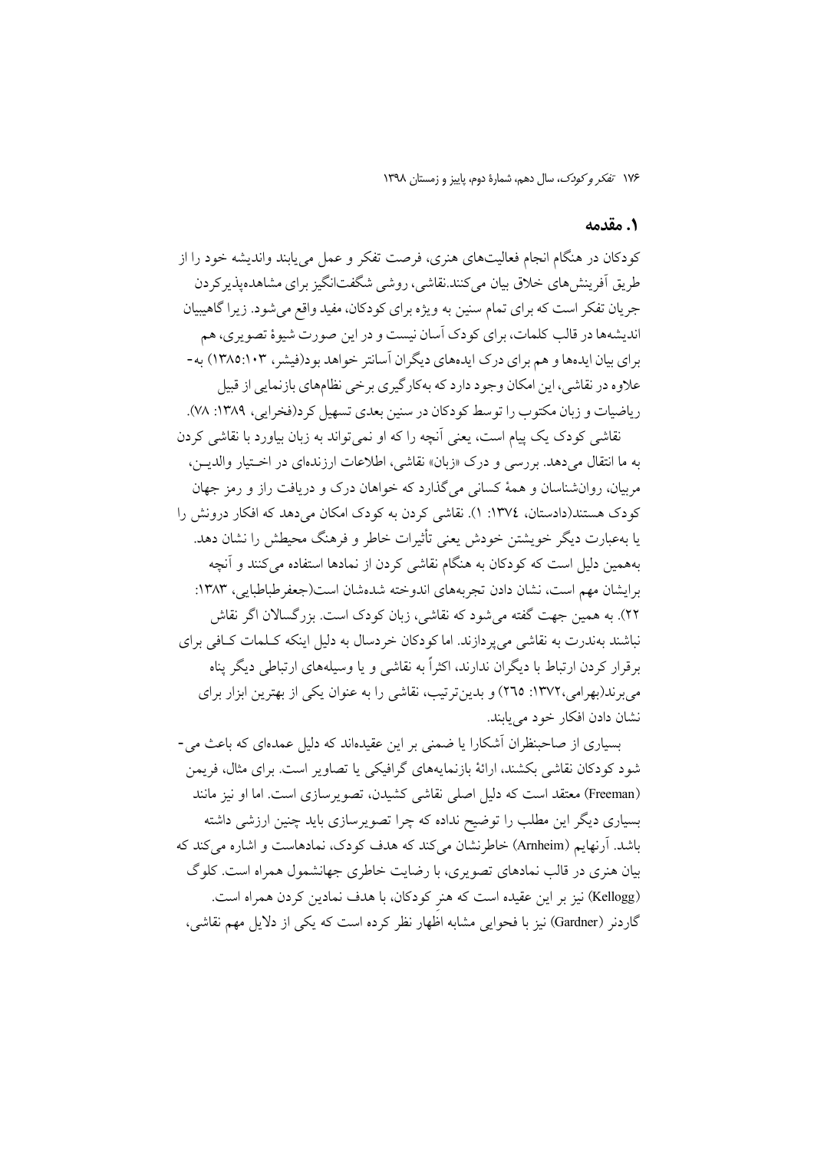#### ۰۱ مقدمه

کودکان در هنگام انجام فعالیتهای هنری، فرصت تفکر و عمل می پابند واندیشه خود را از طریق اَفرینش های خلاق بیان می کنند.نقاشی، روشی شگفتانگیز برای مشاهدهیذیر کردن جريان تفكر است كه براي تمام سنين به ويژه براي كودكان، مفيد واقع مي شود. زيرا گاهيبيان اندیشهها در قالب کلمات، برای کودک آسان نیست و در این صورت شیوهٔ تصویری، هم برای بیان ایدهها و هم برای درک ایدههای دیگران آسانتر خواهد بود(فیشر، ۱۰۳×۱۳۸۵) به-علاوه در نقاشی، این امکان وجود دارد که بهکارگیری برخی نظامهای بازنمایی از قبیل ریاضیات و زبان مکتوب را توسط کودکان در سنین بعدی تسهیل کرد(فخرایی، ۱۳۸۹: ۷۸).

نقاشی کودک یک پیام است، یعنی اَنچه را که او نمی تواند به زبان بیاورد با نقاشی کردن به ما انتقال مي دهد. بررسي و درك «زبان» نقاشي، اطلاعات ارزندهاي در اختيار والديــن، مربیان، روان شناسان و همهٔ کسانی می گذارد که خواهان درک و دریافت راز و رمز جهان کودک هستند(دادستان، ١٣٧٤: ١). نقاشی کردن به کودک امکان می دهد که افکار درونش را یا بهعبارت دیگر خویشتن خودش یعنی تأثیرات خاطر و فرهنگ محیطش را نشان دهد. بههمین دلیل است که کودکان به هنگام نقاشی کردن از نمادها استفاده می کنند و آنچه برايشان مهم است، نشان دادن تجربههاي اندوخته شدهشان است(جعفرطباطبايي، ١٣٨٣: ۲۲). به همین جهت گفته می شود که نقاشی، زبان کودک است. بزرگسالان اگر نقاش نباشند بهندرت به نقاشی می پردازند. اما کودکان خردسال به دلیل اینکه کـلمات کـافی برای برقرار کردن ارتباط با دیگران ندارند، اکثراً به نقاشی و یا وسیلههای ارتباطی دیگر پناه می برند(بهرامی،۱۳۷۲: ۲٦٥) و بدین ترتیب، نقاشی را به عنوان یکی از بهترین ابزار برای نشان دادن افکار خود مے بابند.

بسیاری از صاحبنظران اَشکارا یا ضمنی بر این عقیدهاند که دلیل عمدهای که باعث می-شود کو دکان نقاشی بکشند، ارائهٔ بازنمایههای گرافیکی یا تصاویر است. برای مثال، فریمن (Freeman) معتقد است که دلیل اصلی نقاشی کشیدن، تصویر سازی است. اما او نیز مانند بسیاری دیگر این مطلب را توضیح نداده که چرا تصویرسازی باید چنین ارزشی داشته باشد. آرنهایم (Arnheim) خاطرنشان می کند که هدف کودک، نمادهاست و اشاره می کند که بیان هنری در قالب نمادهای تصویری، با رضایت خاطری جهانشمول همراه است. کلوگ (Kellogg) نیز بر این عقیده است که هنر کودکان، با هدف نمادین کردن همراه است. گاردنر (Gardner) نیز با فحوایی مشابه اظهار نظر کرده است که یکی از دلایل مهم نقاشی،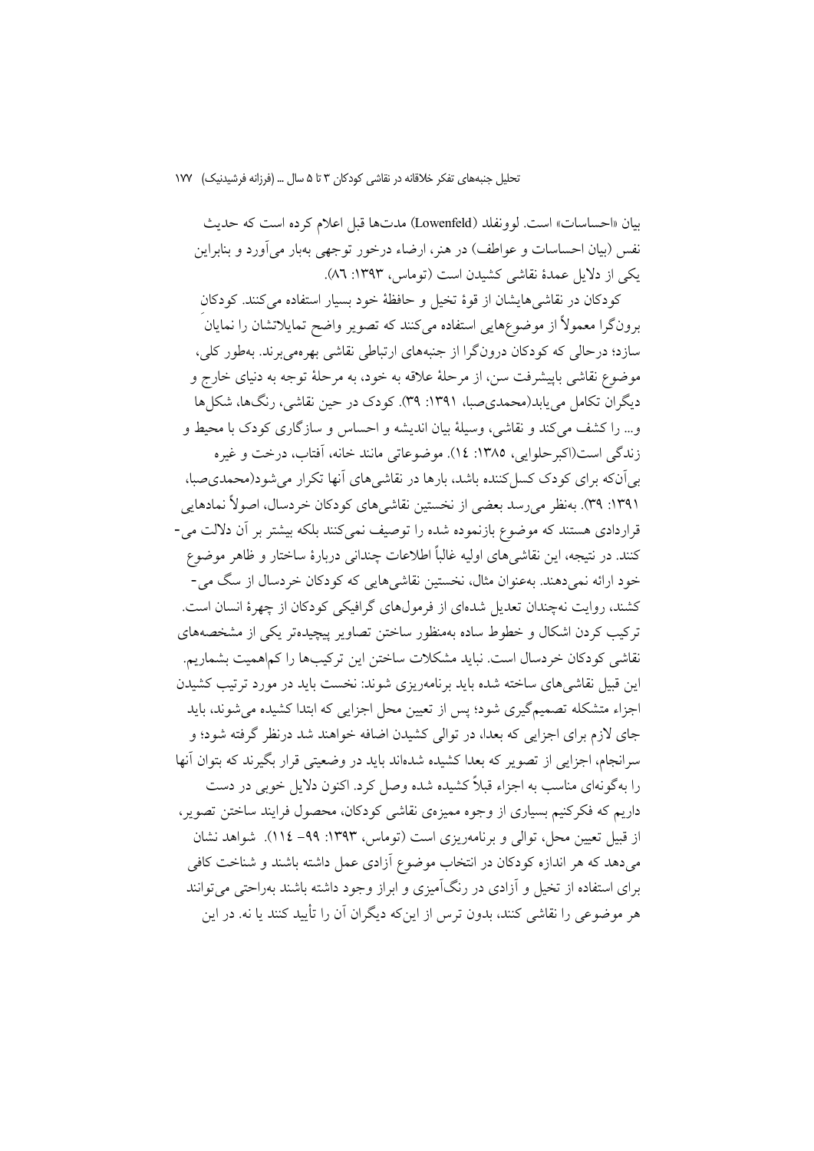بيان «احساسات» است. لوونفلد (Lowenfeld) مدتها قبل اعلام كرده است كه حديث نفس (بیان احساسات و عواطف) در هنر، ارضاء درخور توجهی بهبار میآورد و بنابراین یکی از دلایل عمدهٔ نقاشی کشیدن است (توماس، ۱۳۹۳: ۸٦).

كودكان در نقاشي هايشان از قوهٔ تخيل و حافظهٔ خود بسيار استفاده مي كنند. كودكان برونگرا معمولاً از موضوعهایی استفاده میکنند که تصویر واضح تمایلاتشان را نمایان ً سازد؛ درحالی که کودکان درونگرا از جنبههای ارتباطی نقاشی بهرهمی برند. بهطور کلی، موضوع نقاشي باييشرفت سن، از مرحلهٔ علاقه به خود، به مرحلهٔ توجه به دنياي خارج و دیگران تکامل می یابد(محمدی صبا، ۱۳۹۱: ۳۹). کودک در حین نقاشی، رنگها، شکلها و... را كشف مى كند و نقاشى، وسيلهٔ بيان انديشه و احساس و سازگارى كودك با محيط و زندگی است(اکبرحلوایی، ۱۳۸۵: ۱٤). موضوعاتی مانند خانه، آفتاب، درخت و غیره بی آنکه برای کودک کسل کننده باشد، بارها در نقاشیهای آنها تکرار می شود(محمدی صبا، ۱۳۹۱: ۳۹). بەنظر می رسد بعضی از نخستین نقاشی های کودکان خردسال، اصولاً نمادهایی قراردادی هستند که موضوع بازنموده شده را توصیف نمی کنند بلکه بیشتر بر آن دلالت می-كنند. در نتيجه، اين نقاشي هاي اوليه غالباً اطلاعات چنداني دربارهٔ ساختار و ظاهر موضوع خود ارائه نمیدهند. بهعنوان مثال، نخستین نقاشیهایی که کودکان خردسال از سگ می-کشند، روایت نهچندان تعدیل شدهای از فرمولهای گرافیکی کودکان از چهرهٔ انسان است. ترکیب کردن اشکال و خطوط ساده بهمنظور ساختن تصاویر پیچیدهتر یکی از مشخصههای نقاشی کودکان خردسال است. نباید مشکلات ساختن این ترکیبها را کماهمیت بشماریم. این قبیل نقاشی های ساخته شده باید برنامهریزی شوند: نخست باید در مورد ترتیب کشیدن اجزاء متشکله تصمیمگیری شود؛ پس از تعیین محل اجزایی که ابتدا کشیده می شوند، باید جای لازم برای اجزایی که بعدا، در توالی کشیدن اضافه خواهند شد درنظر گرفته شود؛ و سرانجام، اجزایی از تصویر که بعدا کشیده شدهاند باید در وضعیتی قرار بگیرند که بتوان آنها را به گونهای مناسب به اجزاء قبلاً کشیده شده وصل کرد. اکنون دلایل خوبی در دست داریم که فکرکنیم بسیاری از وجوه ممیزهی نقاشی کودکان، محصول فرایند ساختن تصویر، از قبیل تعیین محل، توالی و برنامهریزی است (توماس، ۱۳۹۳: ۹۹– ۱۱۶). شواهد نشان میدهد که هر اندازه کودکان در انتخاب موضوع آزادی عمل داشته باشند و شناخت کافی برای استفاده از تخیل و آزادی در رنگآمیزی و ابراز وجود داشته باشند بهراحتی می توانند هر موضوعی را نقاشی کنند، بدون ترس از اینکه دیگران آن را تأیید کنند یا نه. در این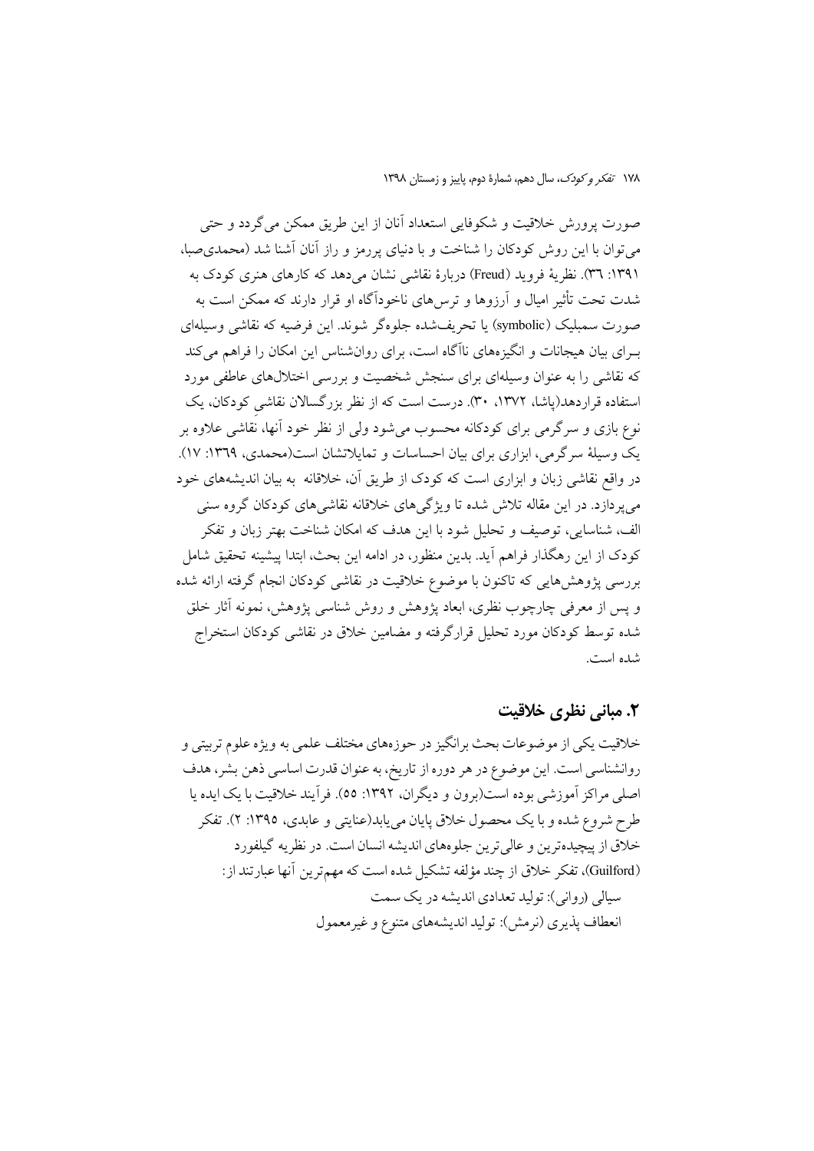صورت پرورش خلاقیت و شکوفایی استعداد آنان از این طریق ممکن می گردد و حتی میتوان با این روش کودکان را شناخت و با دنیای پررمز و راز آنان آشنا شد (محمدی صبا، ۱۳۹۱: ۳٦). نظریهٔ فروید (Freud) دربارهٔ نقاشی نشان می دهد که کارهای هنری کودک به شدت تحت تأثیر امیال و آرزوها و ترس۵های ناخودآگاه او قرار دارند که ممکن است به صورت سمبليک (symbolic) يا تحريفشده جلوهگر شوند. اين فرضيه که نقاشي وسيلهاي بـرای بیان هیجانات و انگیزههای ناآگاه است، برای روانشناس این امکان را فراهم میکند که نقاشی را به عنوان وسیلهای برای سنجش شخصیت و بررسی اختلالهای عاطفی مورد استفاده قراردهد(پاشا، ۱۳۷۲، ۳۰). درست است که از نظر بزرگسالان نقاشی کودکان، یک نوع بازی و سرگرمی برای کودکانه محسوب میشود ولی از نظر خود آنها، نُقاشی علاوه بر یک وسیلهٔ سرگرمی، ابزاری برای بیان احساسات و تمایلاتشان است(محمدی، ۱۳٦۹: ۱۷). در واقع نقاشی زبان و ابزاری است که کودک از طریق آن، خلاقانه به بیان اندیشههای خود می پر دازد. در این مقاله تلاش شده تا ویژگی های خلاقانه نقاشی های کودکان گروه سنی الف، شناسایی، توصیف و تحلیل شود با این هدف که امکان شناخت بهتر زبان و تفکر کودک از این رهگذار فراهم آید. بدین منظور، در ادامه این بحث، ابتدا پیشینه تحقیق شامل بررسی پژوهشهایی که تاکنون با موضوع خلاقیت در نقاشی کودکان انجام گرفته ارائه شده و پس از معرفی چارچوب نظری، ابعاد پژوهش و روش شناسی پژوهش، نمونه آثار خلق شده توسط کودکان مورد تحلیل قرارگرفته و مضامین خلاق در نقاشی کودکان استخراج شده است.

### ۲. مبانی نظری خلاقیت

خلاقیت یکی از موضوعات بحث برانگیز در حوزههای مختلف علمی به ویژه علوم تربیتی و روانشناسی است. این موضوع در هر دوره از تاریخ، به عنوان قدرت اساسی ذهن بشر، هدف اصلي مراكز أموزشي بوده است(برون و ديگران، ١٣٩٢: ٥٥). فرأيند خلاقيت با يک ايده يا طرح شروع شده و با یک محصول خلاق پایان مییابد(عنایتی و عابدی، ۱۳۹۵: ۲). تفکر خلاق از پیچیدهترین و عالیٍترین جلوههای اندیشه انسان است. در نظریه گیلفورد (Guilford)، تفكر خلاق از چند مؤلفه تشكيل شده است كه مهم ترين أنها عبارتند از: سیالی (روانی): تولید تعدادی اندیشه در یک سمت انعطاف يذيري (نرمش): توليد انديشههاي متنوع و غير معمول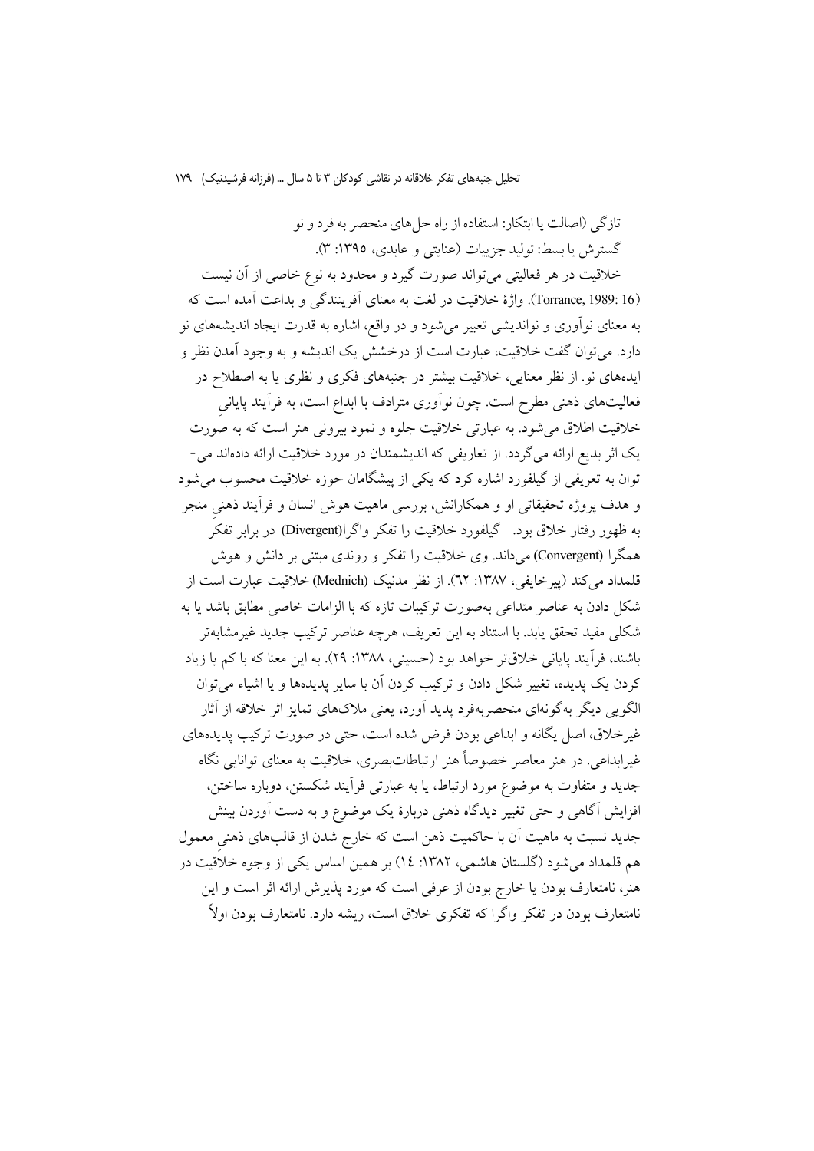تازگی (اصالت یا ابتکار: استفاده از راه حل های منحصر به فرد و نو گسترش يا بسط: توليد جزييات (عنايتي و عابدي، ١٣٩٥: ٣). خلاقیت در هر فعالیتی میتواند صورت گیرد و محدود به نوع خاصی از آن نیست (Torrance, 1989: 16). واژهٔ خلاقیت در لغت به معنای آفرینندگی و بداعت آمده است که به معنای نوآوری و نواندیشی تعبیر میشود و در واقع، اشاره به قدرت ایجاد اندیشههای نو دارد. می توان گفت خلاقیت، عبارت است از درخشش یک اندیشه و به وجود آمدن نظر و ایدههای نو. از نظر معنایی، خلاقیت بیشتر در جنبههای فکری و نظری یا به اصطلاح در فعالیتهای ذهنی مطرح است. چون نوآوری مترادف با ابداع است، به فرآیند پایانی خلاقیت اطلاق می شود. به عبارتی خلاقیت جلوه و نمود بیرونی هنر است که به صورت یک اثر بدیع ارائه میگردد. از تعاریفی که اندیشمندان در مورد خلاقیت ارائه دادهاند می-توان به تعریفی از گیلفورد اشاره کرد که یکی از پیشگامان حوزه خلاقیت محسوب می شود و هدف پروژه تحقیقاتی او و همکارانش، بررسی ماهیت هوش انسان و فرآیند ذهنی منجر به ظهور رفتار خلاق بود. گیلفورد خلاقیت را تفکر واگرا(Divergent) در برابر تفکر همگرا (Convergent) می داند. وی خلاقیت را تفکر و روندی مبتنی بر دانش و هوش قلمداد مي كند (يير خايفي، ١٣٨٧: ٦٢). از نظر مدنيك (Mednich) خلاقيت عبارت است از شکل دادن به عناصر متداعی بهصورت ترکیبات تازه که با الزامات خاصی مطابق باشد یا به شکلی مفید تحقق یابد. با استناد به این تعریف، هرچه عناصر ترکیب جدید غیرمشابهتر باشند، فرآيند پايانې خلاقتر خواهد بود (حسينې، ١٣٨٨: ٢٩). به اين معنا كه با كم يا زياد کردن یک پدیده، تغییر شکل دادن و ترکیب کردن آن با سایر پدیدهها و یا اشیاء می توان الگویی دیگر بهگونهای منحصربهفرد پدید آورد، یعنی ملاکهای تمایز اثر خلاقه از آثار غیرخلاق، اصل یگانه و ابداعی بودن فرض شده است، حتی در صورت ترکیب پدیدهای غیرابداعی. در هنر معاصر خصوصاً هنر ارتباطاتبصری، خلاقیت به معنای توانایی نگاه جدید و متفاوت به موضوع مورد ارتباط، یا به عبارتی فرأیند شکستن، دوباره ساختن، افزایش آگاهی و حتی تغییر دیدگاه ذهنی دربارهٔ یک موضوع و به دست آوردن بینش جدید نسبت به ماهیت آن با حاکمیت ذهن است که خارج شدن از قالبهای ذهنی معمول هم قلمداد می شود (گلستان هاشمی، ۱۳۸۲: ۱٤) بر همین اساس یکی از وجوه خلاقیت در هنر، نامتعارف بودن یا خارج بودن از عرفی است که مورد پذیرش ارائه اثر است و این .<br>نامتعارف بودن در تفکر واگرا که تفکری خلاق است، ریشه دارد. نامتعارف بودن اولاً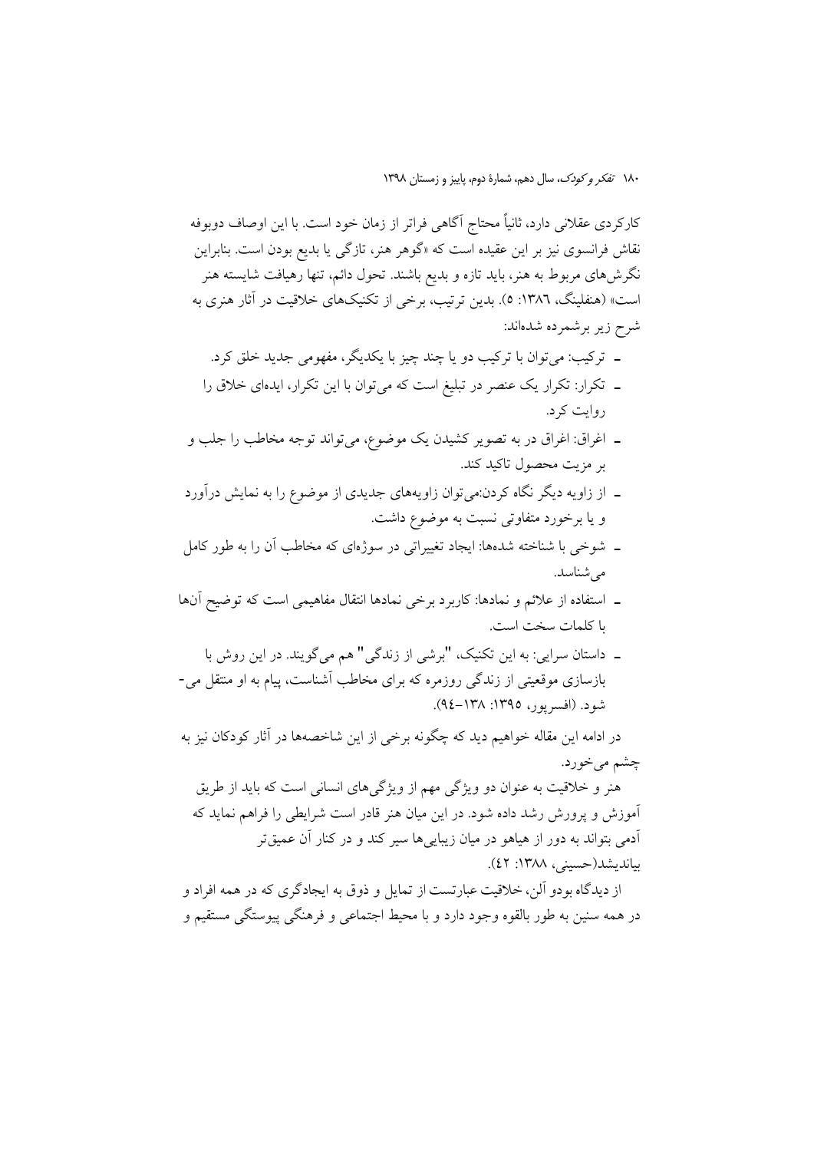کارکردی عقلانی دارد، ثانیاً محتاج آگاهی فراتر از زمان خود است. با این اوصاف دوبوفه نقاش فرانسوی نیز بر این عقیده است که «گوهر هنر، تازگ<sub>ی</sub> یا بدیع بودن است. بنابراین نگرش۵ای مربوط به هنر، باید تازه و بدیع باشند. تحول دائم، تنها رهیافت شایسته هنر است» (هنفلینگ، ۱۳۸۲: ٥). بدین ترتیب، برخی از تکنیکهای خلاقیت در آثار هنری به شرح زیر برشمرده شدهاند:

- ـ ترکیب: میتوان با ترکیب دو یا چند چیز با یکدیگر، مفهومی جدید خلق کرد.
- ـ تکرار: تکرار یک عنصر در تبلیغ است که میتوان با این تکرار، ایدهای خلاق را روايت کړ د.
- ـ اغراق: اغراق در به تصوير كشيدن يك موضوع، مي تواند توجه مخاطب را جلب و بر مزیت محصول تاکید کند.
- ـ از زاویه دیگر نگاه کردن:می توان زاویههای جدیدی از موضوع را به نمایش درآورد و یا برخورد متفاوتی نسبت به موضوع داشت.
- ۔ شوخے یا شناخته شدهها: ایجاد تغییراتی در سوژهای که مخاطب آن را به طور کامل مے شناسد.
- ـ استفاده از علائم و نمادها: كاربرد برخي نمادها انتقال مفاهيمي است كه توضيح آنها با كلمات سخت است.
- ۔ داستان سرایی: به این تکنیک، "برشی از زندگی" هم می گویند. در این روش با بازسازی موقعیتی از زندگی روزمره که برای مخاطب آشناست، پیام به او منتقل می-شود. (افسریور، ۱۳۹۵: ۱۳۸–۹٤).

در ادامه این مقاله خواهیم دید که چگونه برخی از این شاخصهها در آثار کودکان نیز به چشم میخورد.

هنر و خلاقیت به عنوان دو ویژگی مهم از ویژگیهای انسانی است که باید از طریق آموزش و پرورش رشد داده شود. در این میان هنر قادر است شرایطی را فراهم نماید که آدمی بتواند به دور از هیاهو در میان زیبایی ها سیر کند و در کنار آن عمیق<mark>،</mark>تر بيانديشد(حسبني، ١٣٨٨: ٤٢).

از دیدگاه بودو آلن، خلاقیت عبار تست از تمایل و ذوق به ایجادگری که در همه افراد و در همه سنین به طور بالقوه وجود دارد و با محیط اجتماعی و فرهنگی پیوستگی مستقیم و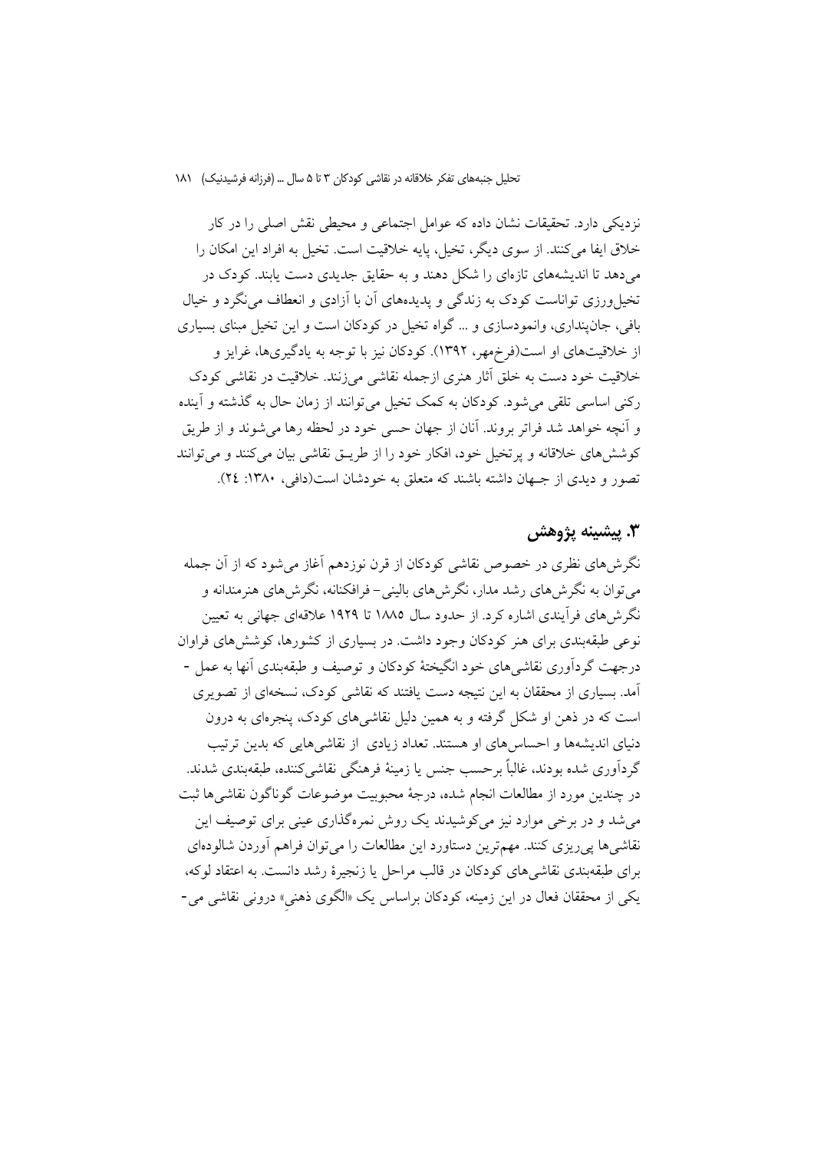نزدیکی دارد. تحقیقات نشان داده که عوامل اجتماعی و محیطی نقش اصلی را در کار خلاق ايفا مي كنند. از سوى ديگر، تخيل، پايه خلاقيت است. تخيل به افراد اين امكان را میدهد تا اندیشههای تازهای را شکل دهند و به حقایق جدیدی دست یابند. کودک در تخیل ورزی تواناست کودک به زندگی و پدیدههای آن با آزادی و انعطاف می نگرد و خیال بافی، جان پنداری، وانمودسازی و … گواه تخیل در کودکان است و این تخیل مبنای بسیاری از خلاقیتهای او است(فرخههر، ۱۳۹۲). کودکان نیز با توجه به یادگیریها، غرایز و خلاقیت خود دست به خلق آثار هنری ازجمله نقاشی می;نند. خلاقیت در نقاشی کودک رکنی اساسی تلقی می شود. کودکان به کمک تخیل می توانند از زمان حال به گذشته و آینده و آنچه خواهد شد فراتر بروند. آنان از جهان حسبی خود در لحظه رها می شوند و از طریق کوشش های خلاقانه و پرتخیل خود، افکار خود را از طریـق نقاشی بیان میکنند و می توانند تصور و دیدی از جهان داشته باشند که متعلق به خودشان است(دافی، ۱۳۸۰: ۲٤).

### ٣. پيشينه پژوهش

نگرشهای نظری در خصوص نقاشی کودکان از قرن نوزدهم آغاز میشود که از آن جمله می توان به نگرش های رشد مدار، نگرش های بالینی- فرافکنانه، نگرش های هنرمندانه و نگرش های فرآیندی اشاره کرد. از حدود سال ۱۸۸۵ تا ۱۹۲۹ علاقهای جهانی به تعیین نوعی طبقهبندی برای هنر کودکان وجود داشت. در بسیاری از کشورها، کوشش های فراوان درجهت گردآوري نقاشي هاي خود انگيختهٔ کودکان و توصيف و طبقهبندي آنها به عمل -آمد. بسیاری از محققان به این نتیجه دست یافتند که نقاشی کودک، نسخهای از تصویری است که در ذهن او شکل گرفته و به همین دلیل نقاشی های کودک، پنجرهای به درون دنیای اندیشهها و احساس های او هستند. تعداد زیادی از نقاشی هایی که بدین ترتیب گردآوري شده بودند، غالباً برحسب جنس يا زمينهٔ فرهنگي نقاشي کننده، طبقهبندي شدند. در چندین مورد از مطالعات انجام شده، درجهٔ محبوبیت موضوعات گوناگون نقاشی ها ثبت می شد و در برخی موارد نیز میکوشیدند یک روش نمرهگذاری عینی برای توصیف این نقاشی ها پے ریزی کنند. مهم ترین دستاورد این مطالعات را می توان فراهم آوردن شالودمای برای طبقهبندی نقاشی های کودکان در قالب مراحل یا زنجیرهٔ رشد دانست. به اعتقاد لوکه، یکی از محققان فعال در این زمینه، کودکان براساس یک «الگوی ذهنی» درونی نقاشی می-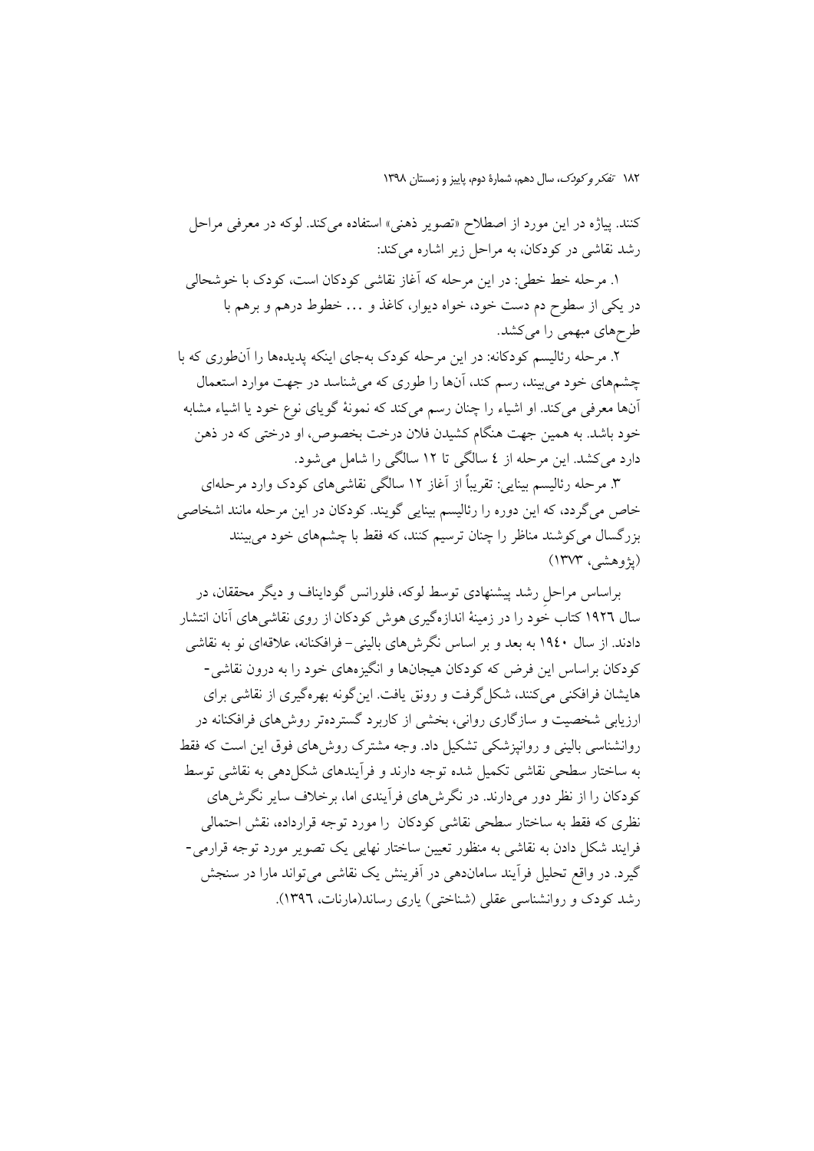كنند. پياژه در اين مورد از اصطلاح «تصوير ذهني» استفاده مي كند. لوكه در معرفي مراحل رشد نقاشی در کودکان، به مراحل زیر اشاره میکند:

١. مرحله خط خطي: در اين مرحله كه آغاز نقاشي كودكان است، كودك با خوشحالي در یکی از سطوح دم دست خود، خواه دیوار، کاغذ و … خطوط درهم و برهم با طرحهای مبهمی را میکشد.

۲. مرحله رئالیسم کودکانه: در این مرحله کودک بهجای اینکه پدیدهها را آنطوری که با چشمهای خود میبیند، رسم کند، آنها را طوری که میشناسد در جهت موارد استعمال آنها معرفی میکند. او اشیاء را چنان رسم میکند که نمونهٔ گویای نوع خود یا اشیاء مشابه خود باشد. به همین جهت هنگام کشیدن فلان درخت بخصوص، او درختی که در ذهن دارد می کشد. این مرحله از ٤ سالگی تا ١٢ سالگی را شامل می شود.

۳. مرحله رئالیسم بینایی: تقریباً از آغاز ۱۲ سالگی نقاشی های کودک وارد مرحلهای خاص میگردد، که این دوره را رئالیسم بینایی گویند. کودکان در این مرحله مانند اشخاصی بزرگسال می کوشند مناظر را چنان ترسیم کنند، که فقط با چشمهای خود می بینند (يژوهشي، ۱۳۷۳)

براساس مراحل رشد پیشنهادی توسط لوکه، فلورانس گودایناف و دیگر محققان، در سال ۱۹۲۲ کتاب خود را در زمینهٔ اندازهگیری هوش کودکان از روی نقاشی های آنان انتشار دادند. از سال ۱۹٤۰ به بعد و بر اساس نگرش۵ای بالینی– فرافکنانه، علاقهای نو به نقاشی کودکان براساس این فرض که کودکان هیجانها و انگیزههای خود را به درون نقاشی-هایشان فرافکنی می کنند، شکل گرفت و رونق یافت. این گو نه بهره گیری از نقاشی برای ارزیابی شخصیت و سازگاری روانی، بخشی از کاربرد گستردهتر روش۵های فرافکنانه در روانشناسی بالینی و روانیزشکی تشکیل داد. وجه مشترک روش۵مای فوق این است که فقط به ساختار سطحی نقاشی تکمیل شده توجه دارند و فرآیندهای شکل دهی به نقاشی توسط کودکان را از نظر دور میدارند. در نگرشهای فرآیندی اما، برخلاف سایر نگرشهای نظری که فقط به ساختار سطحی نقاشی کودکان را مورد توجه قرارداده، نقش احتمالی فرایند شکل دادن به نقاشی به منظور تعیین ساختار نهایی یک تصویر مورد توجه قرارمی-گیرد. در واقع تحلیل فرأیند ساماندهی در آفرینش یک نقاشی می تواند مارا در سنجش رشد کودک و روانشناسی عقلی (شناختی) پاری رساند(مارنات، ۱۳۹۲).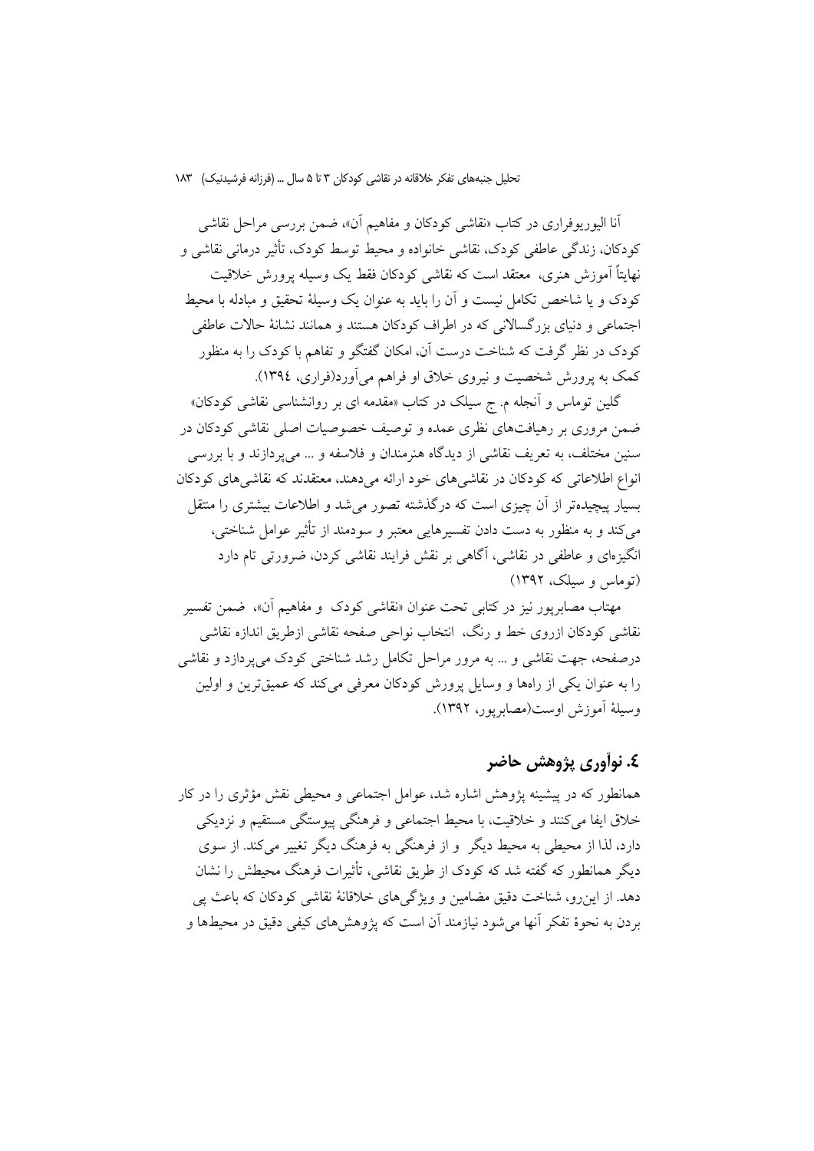أنا اليوريوفراري در كتاب «نقاشي كودكان و مفاهيم أن»، ضمن بررسي مراحل نقاشي کودکان، زندگی عاطفی کودک، نقاشی خانواده و محیط توسط کودک، تأثیر درمانی نقاشی و نهایتاً اَموزش هنری، معتقد است که نقاشی کودکان فقط یک وسیله پرورش خلاقیت کودک و یا شاخص تکامل نیست و آن را باید به عنوان یک وسیلهٔ تحقیق و مبادله با محیط اجتماعی و دنیای بزرگسالانی که در اطراف کودکان هستند و همانند نشانهٔ حالات عاطفی کودک در نظر گرفت که شناخت درست آن، امکان گفتگو و تفاهم با کودک را به منظور کمک به پرورش شخصیت و نیروی خلاق او فراهم می آورد(فراری، ۱۳۹٤).

گلین توماس و آنجله م. ج سیلک در کتاب «مقدمه ای بر روانشناسی نقاشی کودکان» ضمن مروری بر رهیافتهای نظری عمده و توصیف خصوصیات اصلی نقاشی کودکان در سنین مختلف، به تعریف نقاشی از دیدگاه هنرمندان و فلاسفه و … میپردازند و با بررسی انواع اطلاعاتی که کودکان در نقاشیهای خود ارائه میدهند، معتقدند که نقاشیهای کودکان بسیار پیچیدهتر از آن چیزی است که درگذشته تصور می شد و اطلاعات بیشتری را منتقل مي كند و به منظور به دست دادن تفسيرهايي معتبر و سودمند از تأثير عوامل شناختي، انگیزهای و عاطفی در نقاشی، آگاهی بر نقش فرایند نقاشی کردن، ضرورتی تام دارد (توماس و سیلک، ۱۳۹۲)

مهتاب مصابريور نيز در كتابي تحت عنوان «نقاشي كودك و مفاهيم آن»، ضمن تفسير نقاشي كودكان ازروى خط و رنگ، انتخاب نواحي صفحه نقاشي ازطريق اندازه نقاشي درصفحه، جهت نقاشی و … به مرور مراحل تکامل رشد شناختی کودک می پردازد و نقاشی را به عنوان یکی از رامها و وسایل پرورش کودکان معرفی می کند که عمیقترین و اولین وسيلة أموزش اوست(مصابريور، ١٣٩٢).

### ٤. نوأوري پژوهش حاضر

همانطور که در پیشینه پژوهش اشاره شد، عوامل اجتماعی و محیطی نقش مؤثری را در کار خلاق ایفا می کنند و خلاقیت، با محیط اجتماعی و فرهنگی پیوستگی مستقیم و نزدیکی دارد، لذا از محیطی به محیط دیگر و از فرهنگی به فرهنگ دیگر تغییر می کند. از سوی دیگر همانطور که گفته شد که کودک از طریق نقاشی، تأثیرات فرهنگ محیطش را نشان دهد. از این رو، شناخت دقیق مضامین و ویژگی های خلاقانهٔ نقاشی کودکان که باعث یی بردن به نحوهٔ تفکر آنها می شود نیازمند آن است که پژوهش های کیفی دقیق در محیطها و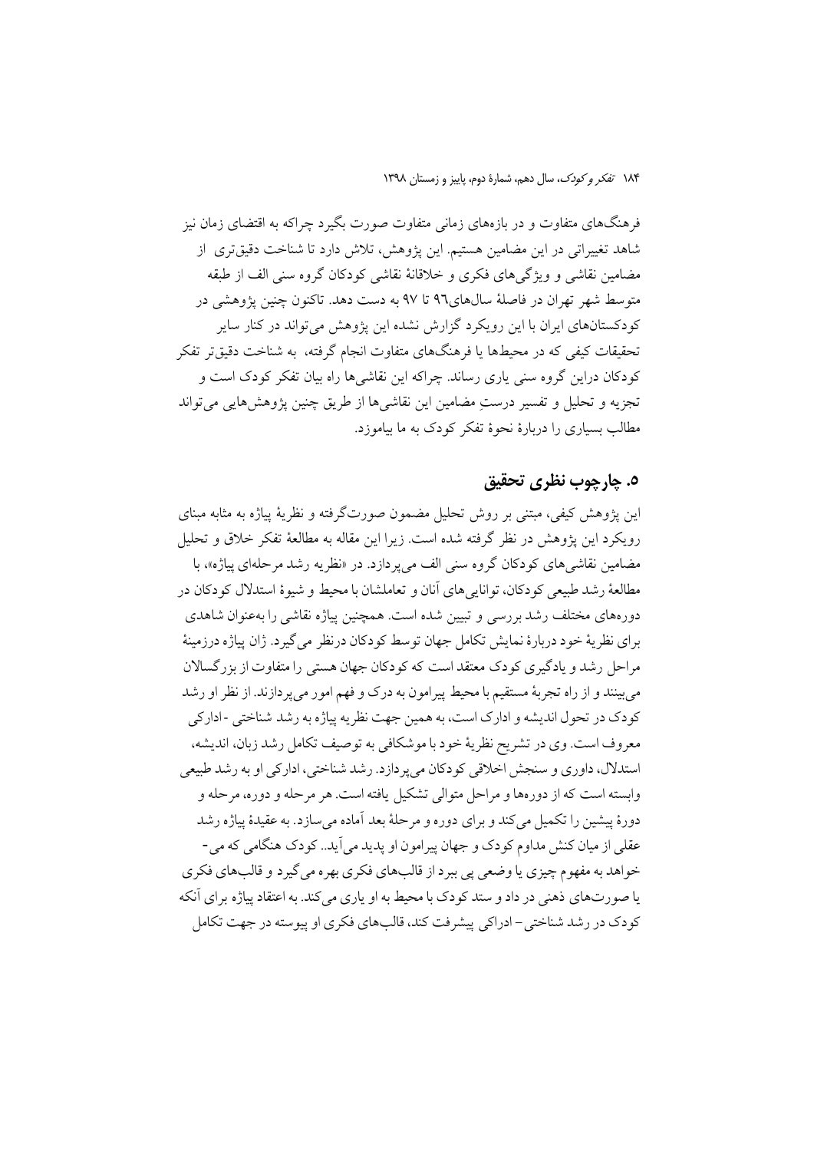فرهنگهای متفاوت و در بازههای زمانی متفاوت صورت بگیرد چراکه به اقتضای زمان نیز شاهد تغییراتی در این مضامین هستیم. این پژوهش، تلاش دارد تا شناخت دقیقتری از مضامین نقاشی و ویژگیهای فکری و خلاقانهٔ نقاشی کودکان گروه سنی الف از طبقه متوسط شهر تهران در فاصلهٔ سالهای۹۲ تا ۹۷ به دست دهد. تاکنون چنین پژوهشی در کودکستانهای ایران با این رویکرد گزارش نشده این پژوهش می تواند در کنار سایر تحقیقات کیفی که در محیطها یا فرهنگهای متفاوت انجام گرفته، به شناخت دقیقتر تفکر کودکان دراین گروه سنی پاری رساند. چراکه این نقاشیها راه بیان تفکر کودک است و تجزيه و تحليل و تفسير درستِ مضامين اين نقاشيها از طريق چنين يژوهشهايي مي تواند مطالب بسیاری را دربارهٔ نحوهٔ تفکر کودک به ما بیاموزد.

### ٥. چارچوب نظري تحقيق

این پژوهش کیفی، مبتنی بر روش تحلیل مضمون صورتگرفته و نظریهٔ پیاژه به مثابه مبنای رويكرد اين يژوهش در نظر گرفته شده است. زيرا اين مقاله به مطالعهٔ تفكر خلاق و تحليل مضامین نقاشی های کودکان گروه سنی الف میپردازد. در «نظریه رشد مرحلهای پیاژه»، با مطالعهٔ رشد طبیعی کو دکان، توانایی های آنان و تعاملشان با محیط و شیوهٔ استدلال کو دکان در دورههای مختلف رشد بررسی و تبیین شده است. همچنین پیاژه نقاشی را بهعنوان شاهدی براي نظريهٔ خود دربارهٔ نمايش تكامل جهان توسط كودكان درنظر مي گيرد. ژان پياژه درزمينهٔ مراحل رشد و یادگیری کودک معتقد است که کودکان جهان هستی را متفاوت از بزر گسالان می بینند و از راه تجربهٔ مستقیم با محیط پیرامون به درک و فهم امور می پر دازند. از نظر او رشد کو دک در تحول اندیشه و ادارک است، به همین جهت نظریه پیاژه به رشد شناختی -ادارکی معروف است. وي در تشريح نظريهٔ خود با موشكافي به توصيف تكامل رشد زبان، انديشه، استدلال، داوري و سنجش اخلاقي كودكان مي يردازد. رشد شناختي، اداركي او به رشد طبيعي وابسته است که از دورهها و مراحل متوالی تشکیل یافته است. هر مرحله و دوره، مرحله و دورهٔ پیشین را تکمیل می کند و برای دوره و مرحلهٔ بعد آماده می سازد. به عقیدهٔ پیاژه رشد عقلي از ميان كنش مداوم كو دك و جهان پير امو ن او پديد مي آيد.. كو دک هنگامي كه مي -خواهد به مفهوم چيزي يا وضعي يې بېرد از قالبهاي فكري بهره مي گيرد و قالبهاي فكري یا صورتهای ذهنی در داد و ستد کودک با محیط به او پاری می کند. به اعتقاد پیاژه برای آنکه کو دک در رشد شناختی – ادراکی پیشرفت کند، قالبهای فکری او پیوسته در جهت تکامل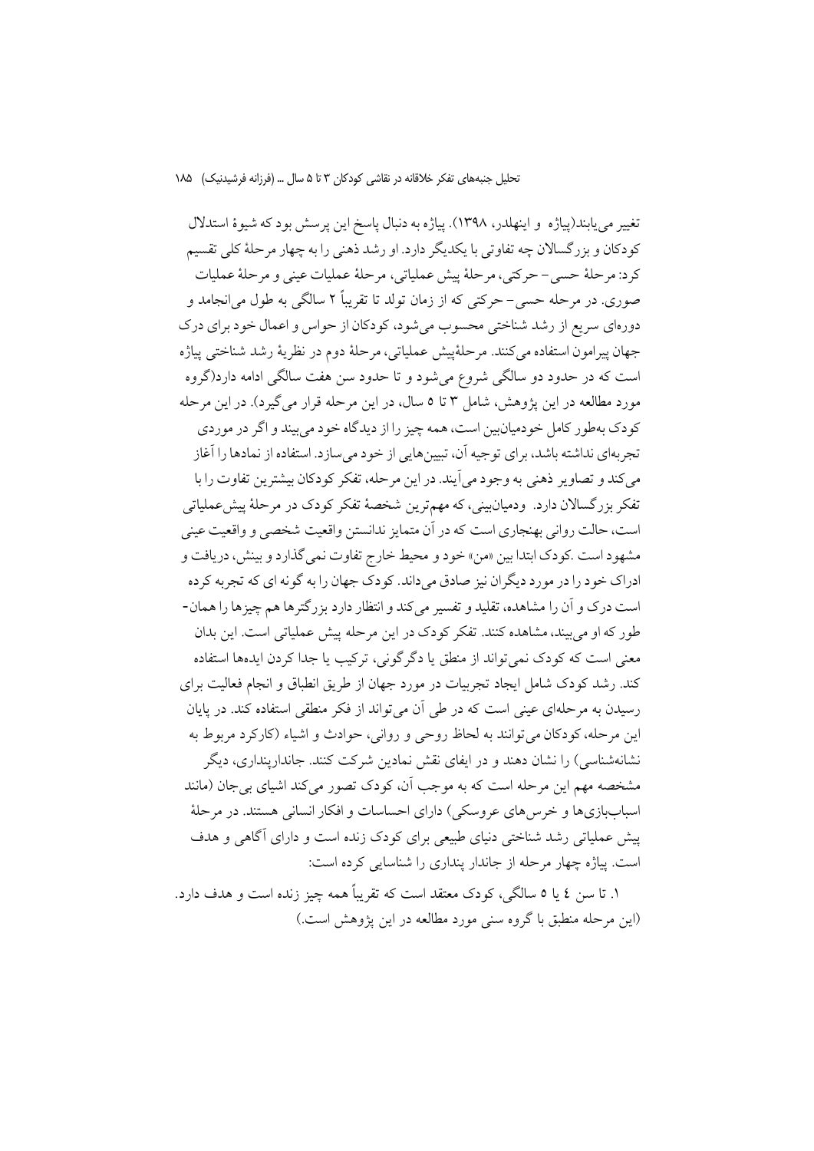تغییر می یابند(پیاژه و اینهلدر، ۱۳۹۸). پیاژه به دنبال پاسخ این پرسش بود که شیوهٔ استدلال کودکان و بزرگسالان چه تفاوتی با یکدیگر دارد. او رشد ذهنی را به چهار مرحلهٔ کلی تقسیم كرد: مرحلهٔ حسى – حركتي، مرحلهٔ ييش عملياتي، مرحلهٔ عمليات عيني و مرحلهٔ عمليات صوري. در مرحله حسي– حرکتي که از زمان تولد تا تقريباً ۲ سالگي به طول مي|نجامد و دورهای سریع از رشد شناختی محسوب می شود، کودکان از حواس و اعمال خود برای درک جهان پيرامون استفاده مي كنند. مرحلهٔييش عملياتي، مرحلهٔ دوم در نظريهٔ رشد شناختي پياژه است که در حدود دو سالگی شروع می شود و تا حدود سن هفت سالگی ادامه دارد(گروه مورد مطالعه در این یژوهش، شامل ۳ تا ۵ سال، در این مرحله قرار می گیرد). در این مرحله کودک بهطور کامل خودمیان بین است، همه چیز را از دیدگاه خود می بیند و اگر در موردی تجربهای نداشته باشد، برای توجیه آن، تبیینهایی از خود میسازد. استفاده از نمادها را آغاز میکند و تصاویر ذهنی به وجود میآیند. در این مرحله، تفکر کودکان بیشترین تفاوت را با تفکر بزرگسالان دارد. ودمیانبینی، که مهمترین شخصهٔ تفکر کودک در مرحلهٔ پیشءملیاتی است، حالت رواني بهنجاري است كه در أن متمايز ندانستن واقعيت شخصي و واقعيت عيني مشهود است .کودک ابتدا بین «من» خود و محیط خارج تفاوت نمی گذارد و بینش، دریافت و ادراک خود را در مورد دیگران نیز صادق میداند. کودک جهان را به گونه ای که تجربه کرده است درک و آن را مشاهده، تقلید و تفسیر می کند و انتظار دارد بزرگترها هم چیزها را همان-طور که او می بیند، مشاهده کنند. تفکر کودک در این مرحله پیش عملیاتی است. این بدان معنی است که کودک نمی تواند از منطق یا دگر گونی، ترکیب یا جدا کردن ایدهها استفاده کند. رشد کودک شامل ایجاد تجربیات در مورد جهان از طریق انطباق و انجام فعالیت برای رسیدن به مرحلهای عینی است که در طی آن می تواند از فکر منطقی استفاده کند. در پایان این مرحله، کودکان می توانند به لحاظ روحی و روانی، حوادث و اشیاء (کارکرد مربوط به نشانهشناسی) را نشان دهند و در ایفای نقش نمادین شرکت کنند. جاندارینداری، دیگر مشخصه مهم این مرحله است که به موجب آن، کودک تصور می کند اشیای بی جان (مانند اسباببازي ها و خرس هاي عروسكي) داراي احساسات و افكار انساني هستند. در مرحلهٔ پیش عملیاتی رشد شناختی دنیای طبیعی برای کودک زنده است و دارای آگاهی و هدف است. پیاژه چهار مرحله از جاندار پنداری را شناسایی کرده است:

١. تا سن ٤ يا ٥ سالگي، كودك معتقد است كه تقريباً همه چيز زنده است و هدف دارد. (این مرحله منطبق با گروه سنی مورد مطالعه در این پژوهش است.)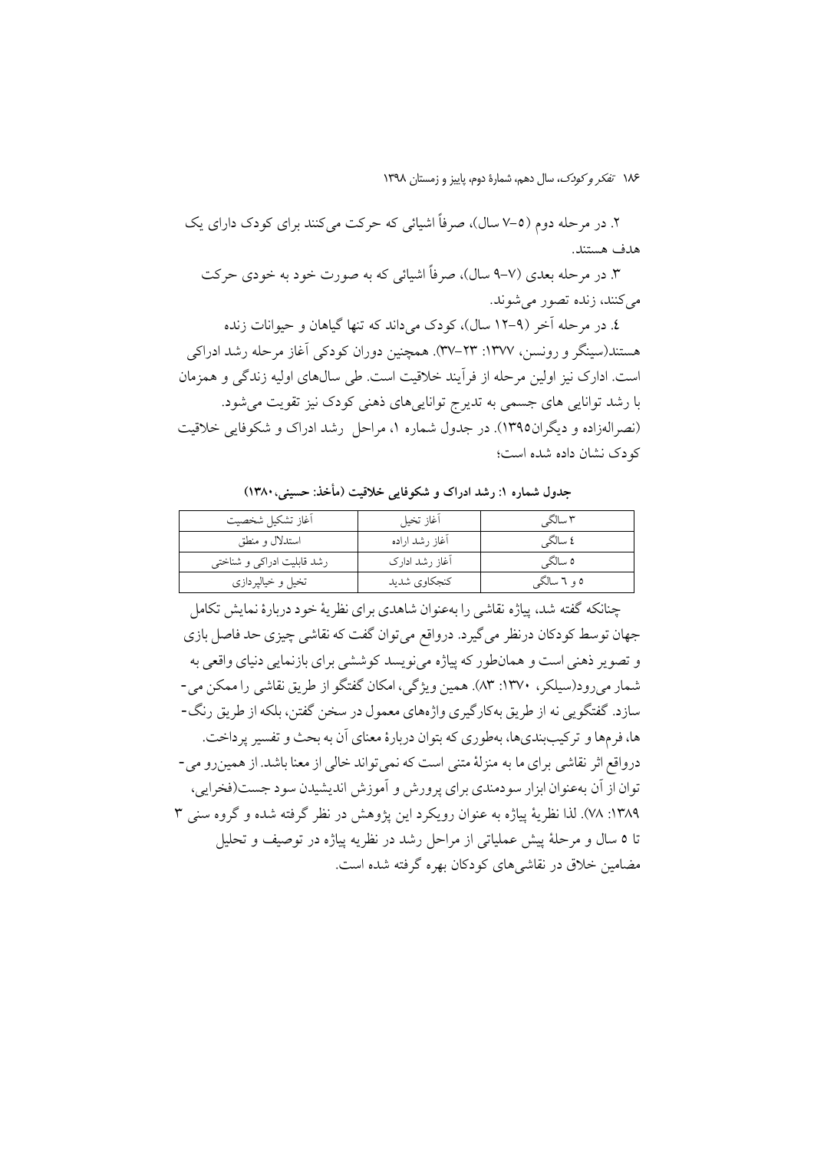۲. در مرحله دوم (٥-۷ سال)، صرفاً اشیائی که حرکت می کنند برای کودک دارای یک هدف هستند.

۳. در مرحله بعدي (۷–۹ سال)، صرفاً اشیائی که به صورت خود به خودي حرکت مي كنند، زنده تصور مي شوند.

٤. در مرحله آخر (٩-١٢ سال)، كودك مي داند كه تنها گياهان و حيوانات زنده هستند(سینگر و رونسن، ۱۳۷۷: ۲۳–۳۷). همچنین دوران کودکی اَغاز مرحله رشد ادراکی است. ادارک نیز اولین مرحله از فر اّیند خلاقیت است. طی سال@ای اولیه زندگی و همزمان با رشد توانایی های جسمی به تدیرج تواناییهای ذهنی کودک نیز تقویت می شود. (نصرالهزاده و دیگران۱۳۹۵). در جدول شماره ۱، مراحل رشد ادراک و شکوفایی خلاقیت کو دک نشان داده شده است؛

| أغاز تشكيل شخصيت           | أغاز تخيل      | ۳ سالگی     |
|----------------------------|----------------|-------------|
| استدلال و منطق             | آغاز رشد اراده | ٤ سالگي     |
| رشد قابلیت ادراکی و شناختی | آغاز رشد ادارک | ٥ سالگي     |
| تخیل و خیالپردازی          | كنجكاوي شديد   | ۵ و ٦ سالگې |

جدول شماره ۱: رشد ادراک و شکوفایی خلاقیت (مأخذ: حسینی، ۱۳۸۰)

چنانکه گفته شد، پیاژه نقاشی را بهعنوان شاهدی برای نظریهٔ خود دربارهٔ نمایش تکامل جهان توسط کودکان درنظر میگیرد. درواقع میتوان گفت که نقاشی چیزی حد فاصل بازی و تصویر ذهنی است و همانطور که پیاژه میفویسد کوششی برای بازنمایی دنیای واقعی به شمار می رو د(سیلکر ، ۱۳۷۰: ۸۳). همین ویژگی، امکان گفتگو از طریق نقاشی را ممکن می -سازد. گفتگویی نه از طریق بهکارگیری واژههای معمول در سخن گفتن، بلکه از طریق رنگ-ها، فرمها و تركيبېنديها، بهطوري كه بتوان دربارهٔ معناي آن به بحث و تفسير پر داخت. درواقع اثر نقاشی برای ما به منزلهٔ متنی است که نمی تواند خالی از معنا باشد. از همین رو می-توان از آن بهعنوان ابزار سودمندي براي يرورش و آموزش انديشيدن سود جست(فخرايي، ١٣٨٩: ٧٨). لذا نظرية يياژه به عنوان رويكرد اين يژوهش در نظر گرفته شده و گروه سني ٣ تا ٥ سال و مرحلهٔ پیش عملیاتی از مراحل رشد در نظریه پیاژه در توصیف و تحلیل مضامین خلاق در نقاشی های کودکان بهره گرفته شده است.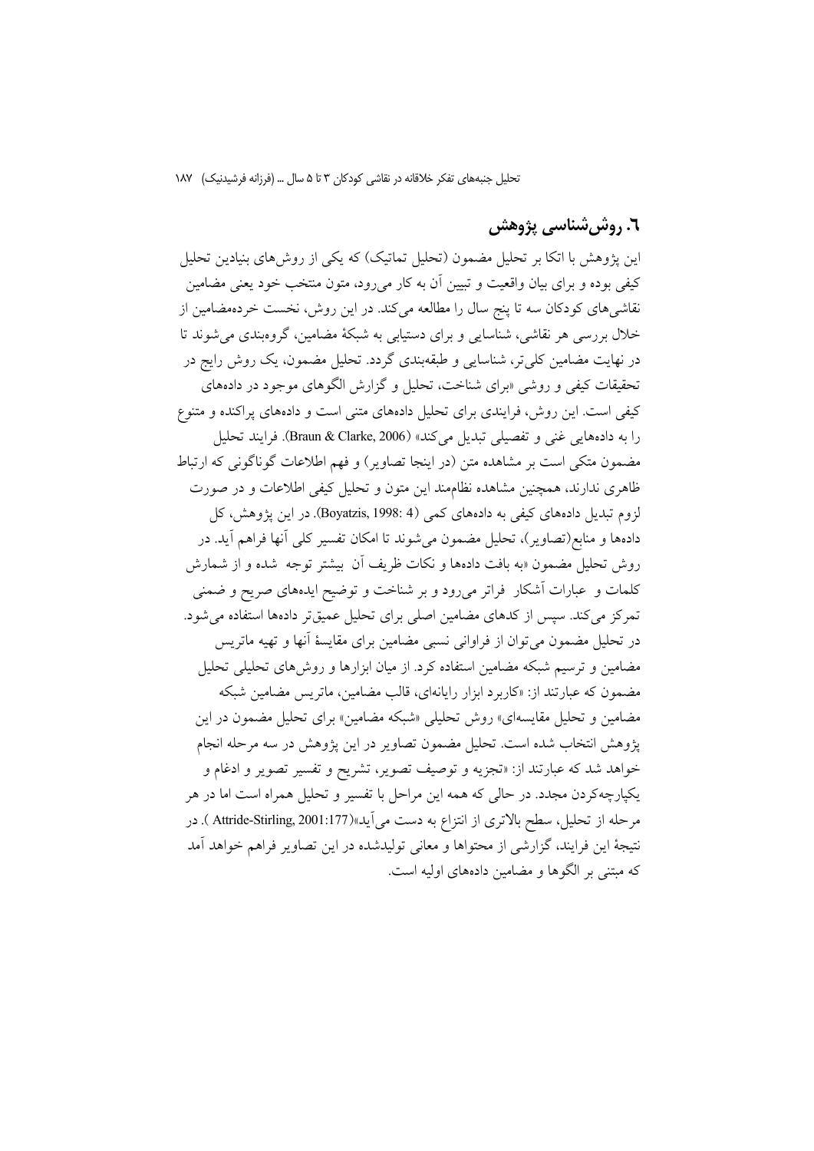### ٦. روش شناسي پژوهش

این یژوهش با اتکا بر تحلیل مضمون (تحلیل تماتیک) که یکی از روشهای بنیادین تحلیل کیفی بوده و برای بیان واقعیت و تبیین آن به کار میرود، متون منتخب خود یعنی مضامین .<br>نقاشی های کودکان سه تا پنج سال را مطالعه می کند. در این روش، نخست خردهمضامین از خلال بررسی هر نقاشی، شناسایی و برای دستیابی به شبکهٔ مضامین، گروهبندی می شوند تا در نهایت مضامین کلی تر، شناسایی و طبقهبندی گردد. تحلیل مضمون، یک روش رایج در تحقیقات کیفی و روشی «برای شناخت، تحلیل و گزارش الگوهای موجود در دادههای کیفی است. این روش، فرایندی برای تحلیل دادههای متنی است و دادههای پراکنده و متنوع را به دادههایی غنی و تفصیلی تبدیل میکند» (Braun & Clarke, 2006). فرایند تحلیل مضمون متکی است بر مشاهده متن (در اینجا تصاویر ) و فهم اطلاعات گوناگونی که ارتباط ظاهری ندارند، همچنین مشاهده نظاممند این متون و تحلیل کیفی اطلاعات و در صورت لزوم تبدیل دادههای کیفی به دادههای کمی (Boyatzis, 1998: 4). در این پژوهش، کل دادهها و منابع(تصاویر)، تحلیل مضمون میشوند تا امکان تفسیر کلی آنها فراهم آید. در روش تحليل مضمون «به بافت دادهها و نكات ظريف أن بيشتر توجه شده و از شمارش کلمات و عبارات آشکار فراتر میرود و بر شناخت و توضیح ایدههای صریح و ضمنی تمرکز میکند. سپس از کدهای مضامین اصلی برای تحلیل عمیقتر دادهها استفاده می شود. در تحلیل مضمون می توان از فراوانی نسبی مضامین برای مقایسهٔ آنها و تهیه ماتریس مضامین و ترسیم شبکه مضامین استفاده کرد. از میان ابزارها و روش های تحلیلی تحلیل مضمون که عبارتند از: «کاربرد ابزار رایانهای، قالب مضامین، ماتریس مضامین شبکه مضامین و تحلیل مقایسهای» روش تحلیلی «شبکه مضامین» برای تحلیل مضمون در این پژوهش انتخاب شده است. تحلیل مضمون تصاویر در این پژوهش در سه مرحله انجام خواهد شد که عبارتند از: «تجزیه و توصیف تصویر، تشریح و تفسیر تصویر و ادغام و يكيارچهكردن مجدد. در حالي كه همه اين مراحل با تفسير و تحليل همراه است اما در هر مرحله از تحلیل، سطح بالاتری از انتزاع به دست می]ید»(1177:Attride-Stirling, 2001 ). در نتيجهٔ اين فرايند، گزارشي از محتواها و معاني توليدشده در اين تصاوير فراهم خواهد آمد که مبتنی بر الگوها و مضامین دادههای اولیه است.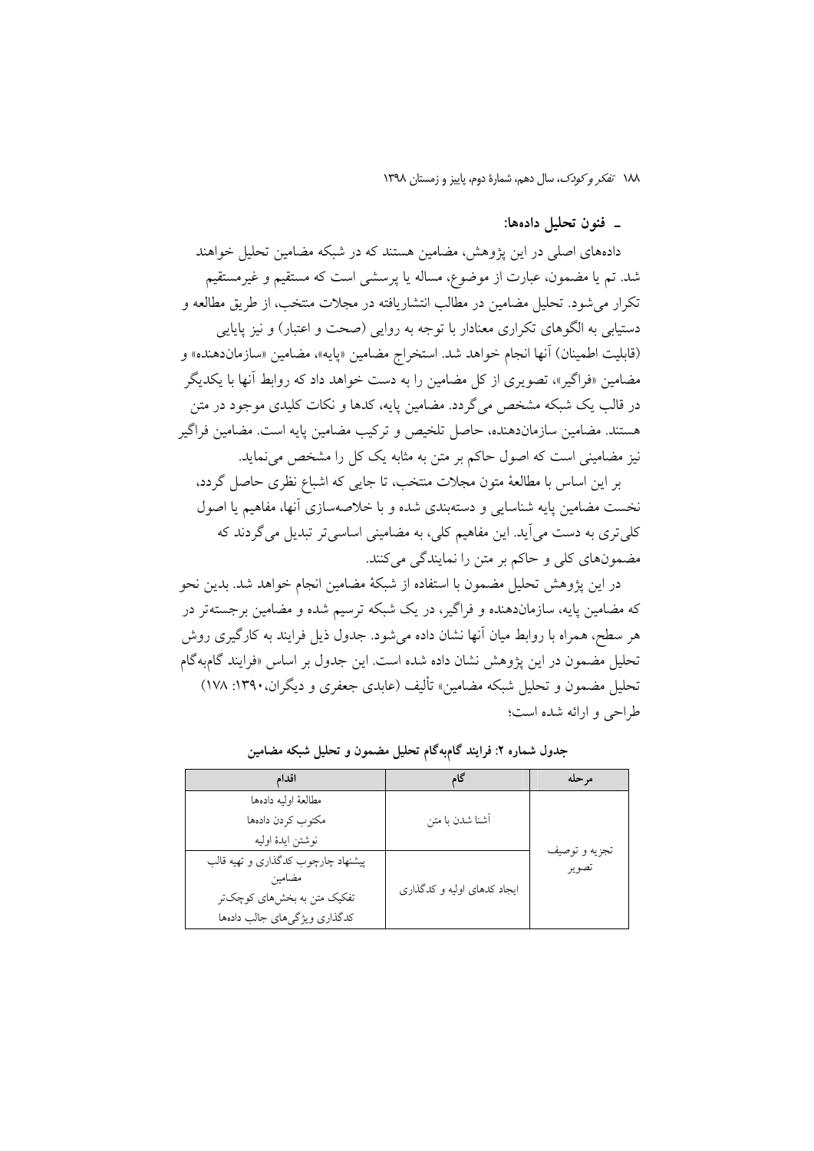١٨٨ تفكر وكودك، سال دهم، شمارة دوم، ياييز و زمستان ١٣٩٨

### ۔ فنون تحلیل دادہہا:

دادههای اصلی در این پژوهش، مضامین هستند که در شبکه مضامین تحلیل خواهند شد. تم یا مضمون، عبارت از موضوع، مساله یا پرسشی است که مستقیم و غیرمستقیم تکرار می شود. تحلیل مضامین در مطالب انتشاریافته در مجلات منتخب، از طریق مطالعه و دستیابی به الگوهای تکراری معنادار با توجه به روایی (صحت و اعتبار) و نیز پایایی (قابليت اطمينان) آنها انجام خواهد شد. استخراج مضامين «پايه»، مضامين «سازماندهنده» و مضامین «فراگیر»، تصویری از کل مضامین را به دست خواهد داد که روابط آنها با یکدیگر در قالب یک شبکه مشخص می گردد. مضامین پایه، کدها و نکات کلیدی موجود در متن هستند. مضامین سازماندهنده، حاصل تلخیص و ترکیب مضامین پایه است. مضامین فراگیر نیز مضامینی است که اصول حاکم بر متن به مثابه یک کل را مشخص می نماید.

بر این اساس با مطالعهٔ متون مجلات منتخب، تا جایی که اشباع نظری حاصل گردد، نخست مضامین پایه شناسایی و دستهبندی شده و با خلاصهسازی آنها، مفاهیم یا اصول کلی تری به دست می آید. این مفاهیم کلی، به مضامینی اساسی تر تبدیل می گردند که مضمونهای کلی و حاکم بر متن را نمایندگی میکنند.

در این پژوهش تحلیل مضمون با استفاده از شبکهٔ مضامین انجام خواهد شد. بدین نحو که مضامین پایه، سازماندهنده و فراگیر، در یک شبکه ترسیم شده و مضامین برجستهتر در هر سطح، همراه با روابط میان آنها نشان داده می شود. جدول ذیل فرایند به کارگیری روش تحليل مضمون در اين يژوهش نشان داده شده است. اين جدول بر اساس «فرايند گامبهگام تحلیل مضمون و تحلیل شبکه مضامین» تألیف (عابدی جعفری و دیگران، ۱۳۹۰: ۱۷۸) طراحي و ارائه شده است؛

| اقدام                              |                             | مر حله                 |
|------------------------------------|-----------------------------|------------------------|
| مطالعهٔ اولیه دادهها               |                             |                        |
| مكتوب كردن دادهها                  | آشنا شدن با متن             |                        |
| نوشتن ايدة اوليه                   |                             |                        |
| پیشنهاد چارچوب کدگذاری و تهیه قالب |                             | تجزيه و توصيف<br>تصوير |
| مضامين                             | ایجاد کدهای اولیه و کدگذاری |                        |
| تفکیک متن به بخشهای کوچکتر         |                             |                        |
| كدگذاري ويژگيهاي جالب دادهها       |                             |                        |

جدول شماره ۲: فرایند گامبهگام تحلیل مضمون و تحلیل شبکه مضامین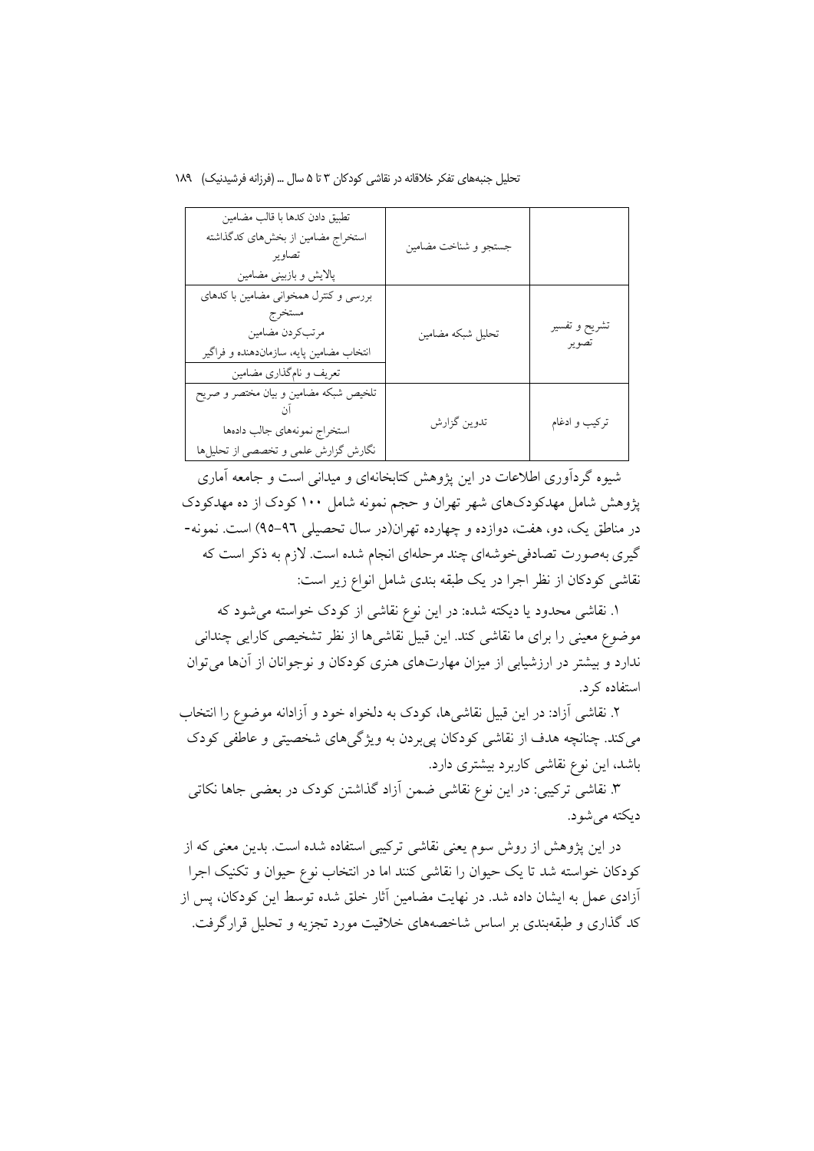| تطبيق دادن كدها با قالب مضامين<br>استخراج مضامین از بخشهای کدگذاشته<br>تصاوير<br>پالایش و بازبینی مضامین                                  | جستجو و شناخت مضامين |                        |
|-------------------------------------------------------------------------------------------------------------------------------------------|----------------------|------------------------|
| بررسی و کنترل همخوانی مضامین با کدهای<br>مستخرج<br>مرتبكردن مضامين<br>انتخاب مضامین پایه، سازماندهنده و فراگیر<br>تعریف و نامگذاری مضامین | تحليل شبكه مضامين    | تشريح و تفسير<br>تصوير |
| تلخیص شبکه مضامین و بیان مختصر و صریح<br>استخراج نمونههاى جالب دادهها<br>نگارش گزارش علمی و تخصصی از تحلیلها                              | تدوين گزارش          | تركيب و ادغام          |

شیوه گردآوری اطلاعات در این یژوهش کتابخانهای و میدانی است و جامعه آماری یژوهش شامل مهدکودکهای شهر تهران و حجم نمونه شامل ۱۰۰ کودک از ده مهدکودک در مناطق یک، دو، هفت، دوازده و چهارده تهران(در سال تحصیلی ۹٦-۹۵) است. نمونه-گیری بهصورت تصادفی خوشهای چند مرحلهای انجام شده است. لازم به ذکر است که نقاشی کودکان از نظر اجرا در یک طبقه بندی شامل انواع زیر است:

۱. نقاشی محدود یا دیکته شده: در این نوع نقاشی از کودک خواسته میشود که موضوع معینی را برای ما نقاشی کند. این قبیل نقاشی ها از نظر تشخیصی کارایی چندانی ندارد و بیشتر در ارزشیابی از میزان مهارتهای هنری کودکان و نوجوانان از آنها می توان استفاده کرد.

۲. نقاشی آزاد: در این قبیل نقاشیها، کودک به دلخواه خود و آزادانه موضوع را انتخاب میکند. چنانچه هدف از نقاشی کودکان پی بردن به ویژگیهای شخصیتی و عاطفی کودک باشد، این نوع نقاشی کاربرد بیشتری دارد.

۳. نقاشی ترکیبی: در این نوع نقاشی ضمن آزاد گذاشتن کودک در بعضی جاها نکاتی دیکته مے شود.

در این پژوهش از روش سوم یعنی نقاشی ترکیبی استفاده شده است. بدین معنی که از کودکان خواسته شد تا یک حیوان را نقاشی کنند اما در انتخاب نوع حیوان و تکنیک اجرا آزادی عمل به ایشان داده شد. در نهایت مضامین آثار خلق شده توسط این کودکان، پس از کد گذاری و طبقهبندی بر اساس شاخصههای خلاقیت مورد تجزیه و تحلیل قرارگرفت.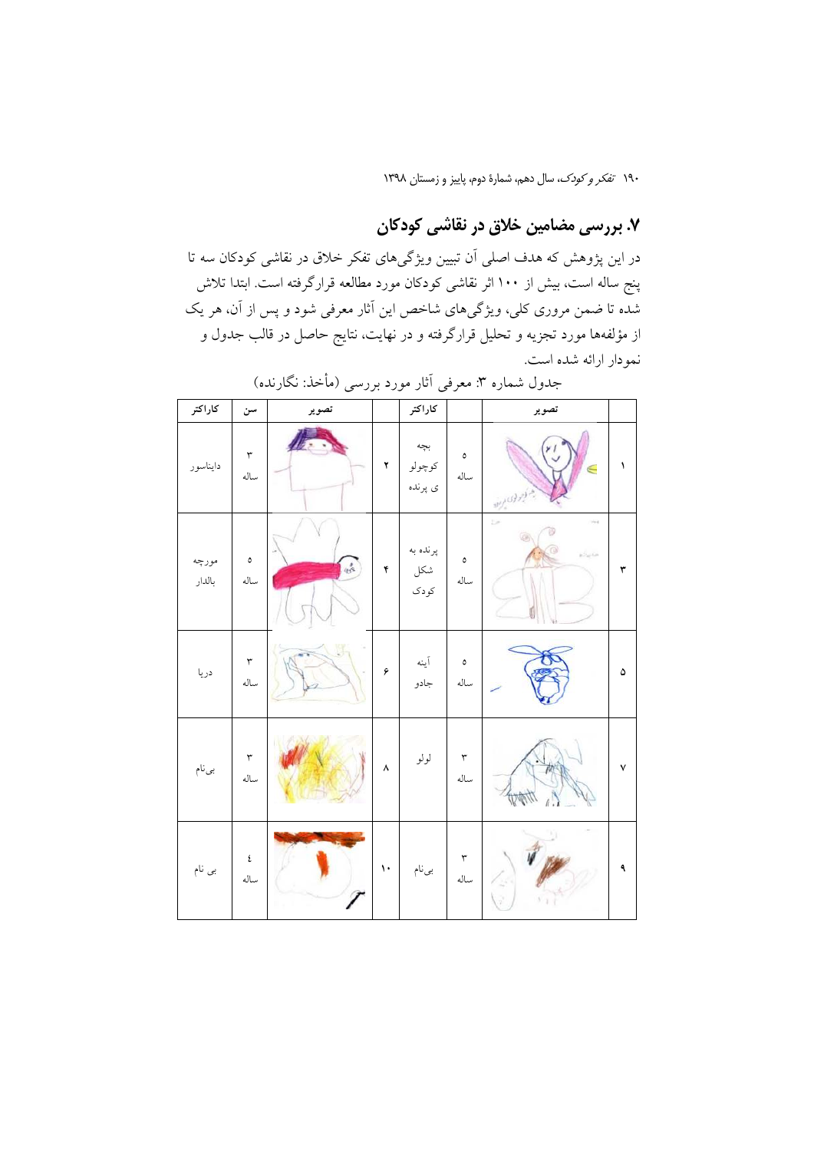# ۷. بررسی مضامین خلاق در نقاشی کودکان

در این پژوهش که هدف اصلی آن تبیین ویژگیهای تفکر خلاق در نقاشی کودکان سه تا پنج ساله است، بیش از ۱۰۰ اثر نقاشی کودکان مورد مطالعه قرارگرفته است. ابتدا تلاش شده تا ضمن مروری کلی، ویژگیهای شاخص این آثار معرفی شود و پس از آن، هر یک از مؤلفهها مورد تجزیه و تحلیل قرارگرفته و در نهایت، نتایج حاصل در قالب جدول و نمودار ارائه شده است.

| كاراكتر         | سن                           | تصوير |            | كاراكتر                  |                       | تصوير                           |   |
|-----------------|------------------------------|-------|------------|--------------------------|-----------------------|---------------------------------|---|
| دايناسور        | $\mathbf{\breve{r}}$<br>ساله |       | ۲          | بجه<br>كوچولو<br>ى پرندە | $\pmb{\circ}$<br>ساله | هجر کوچر کری مربود              | ١ |
| مورچه<br>بالدار | $\pmb{\circ}$<br>ساله        | se o  | ۴          | پرنده به<br>شكل<br>کودک  | ٥<br>ساله             | œ<br>$\hat{\rho}_{\rm{eff}}$ is | ٣ |
| دريا            | $\mathbf{\breve{r}}$<br>ساله |       | ۶          | آينه<br>جادو             | ٥<br>ساله             |                                 | ۵ |
| بىنام           | $\mathbf{\check{r}}$<br>ساله |       | ٨          | لولو                     | ٣<br>ساله             |                                 | ٧ |
| بى نام          | ٤<br>ساله                    |       | $\bar{\ }$ | بىنام                    | ٣<br>ساله             |                                 | ٩ |

جدول شماره ۳: معرفی آثار مورد بررسی (مأخذ: نگارنده)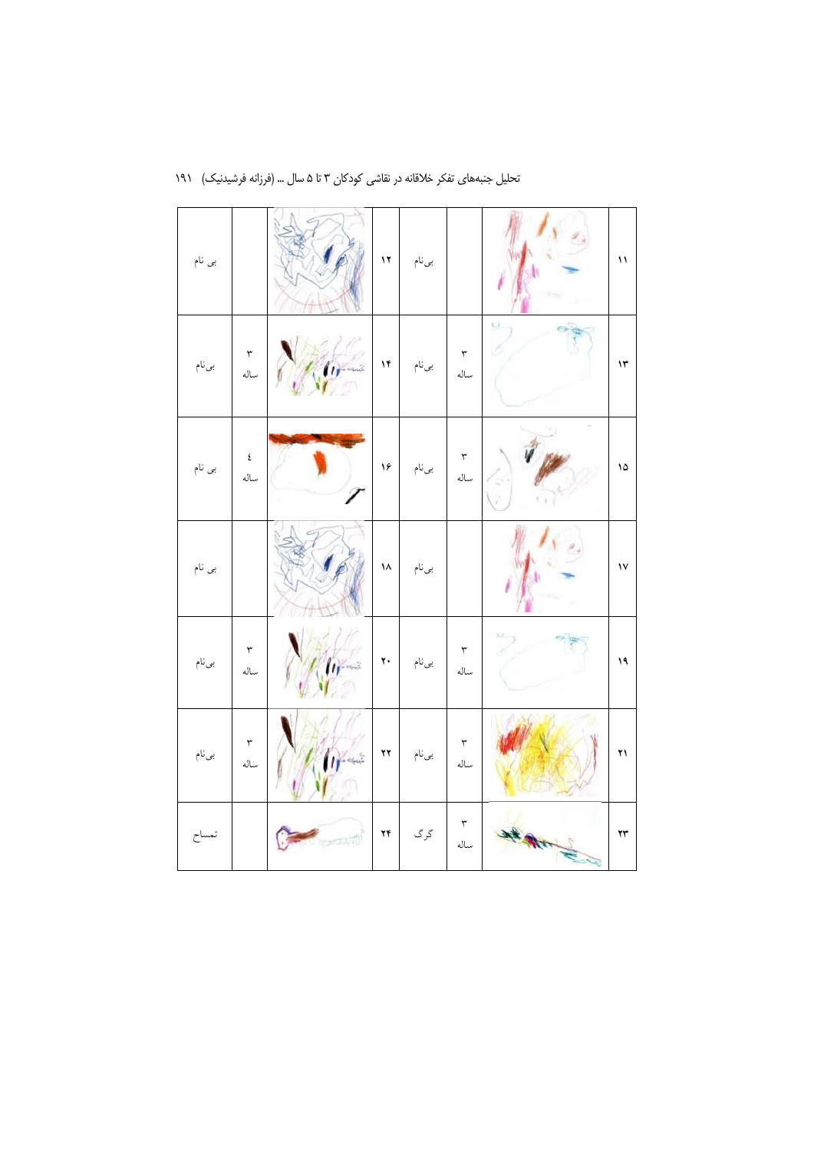| بى نام |                              |            | $\mathbf{17}$                     | بىنام |                              |    | ١١            |
|--------|------------------------------|------------|-----------------------------------|-------|------------------------------|----|---------------|
| بىنام  | $\mathbf{\breve{v}}$<br>ساله |            | ۱۴                                | بىنام | ٣<br>ساله                    | U. | $\mathcal{N}$ |
| بى نام | ٤<br>ساله                    |            | ۱۶                                | بىنام | ٣<br>ساله                    |    | ۱۵            |
| بى نام |                              |            | ۱۸                                | بىنام |                              |    | $\mathsf{v}$  |
| بىنام  | $\mathbf{\breve{r}}$<br>ساله |            | $\mathbf{y}$                      | بىنام | $\mathbf{\breve{r}}$<br>ساله |    | ۱۹            |
| بىنام  | ٣<br>ساله                    | ,<br>Uprin | $\pmb{\curlyvee} \pmb{\curlyvee}$ | بىنام | ٣<br>ساله                    |    | ۲۱            |
| تمساح  |                              | aaniy      | ۲۴                                | گر گ  | ٣<br>ساله                    |    | ۲۳            |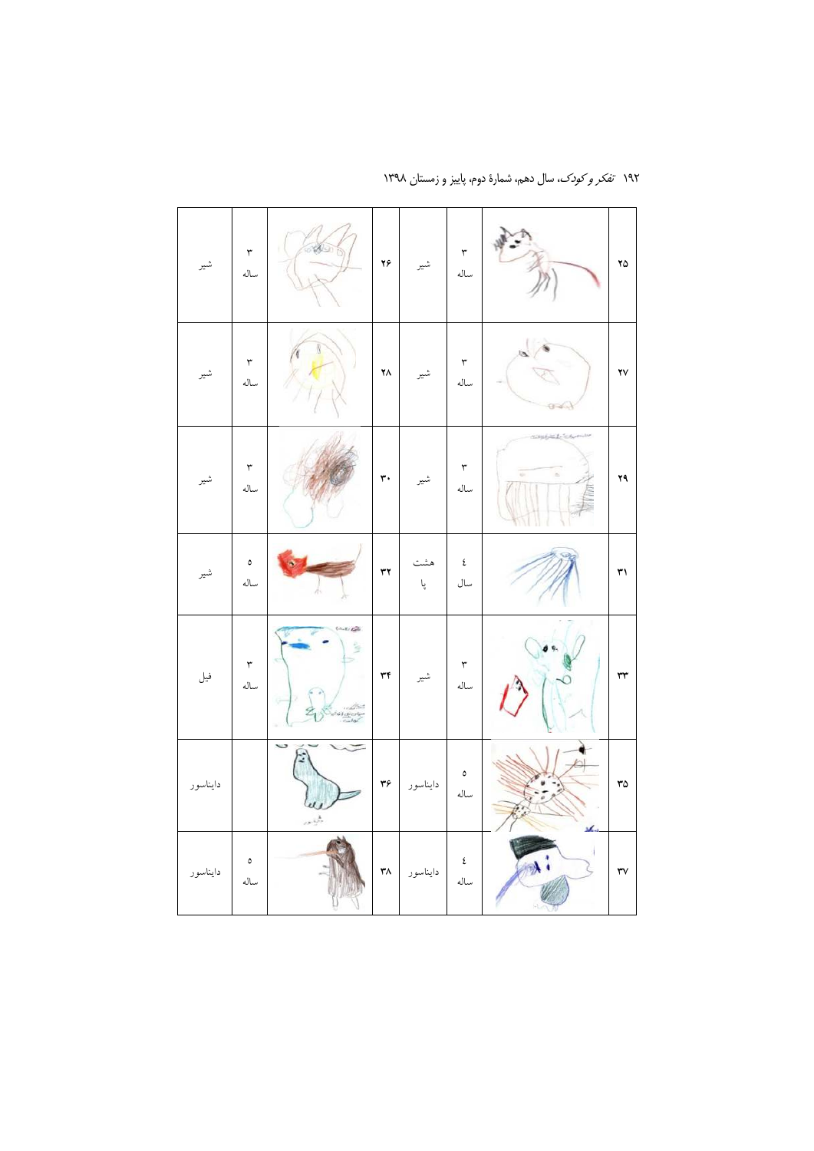| شير      | $\mathbf{\breve{r}}$<br>ساله | a y                     | ۲۶ $\,$             | شير      | ٣<br>ساله             |        | ۲۵ |
|----------|------------------------------|-------------------------|---------------------|----------|-----------------------|--------|----|
| شير      | ٣<br>ساله                    |                         | $\mathbf{Y} \wedge$ | شير      | ٣<br>ساله             |        | ۲۷ |
| شير      | ٣<br>ساله                    |                         | ٣٠                  | شير      | ٣<br>ساله             | ë<br>÷ | ۲۹ |
| شير      | ٥<br>ساله                    |                         | $\tau\tau$          | هث<br>پا | ٤<br>سال              |        | ٣١ |
| فيل      | ٣<br>ساله                    |                         | ٣۴                  | شير      | ٣<br>ساله             |        | ٣٣ |
| دايناسور |                              | w<br>2<br>$\frac{1}{2}$ | $\mathbf{r}$ ۶      | دايناسور | $\pmb{\circ}$<br>ساله |        | ٣۵ |
| دايناسور | ٥<br>ساله                    |                         | $\mathbf{r} \wedge$ | دايناسور | ٤<br>ساله             |        | ٣٧ |

۱۹۲ تف*کر و کودک*، سال دهم، شمارهٔ دوم، پاییز و زمستان ۱۳۹۸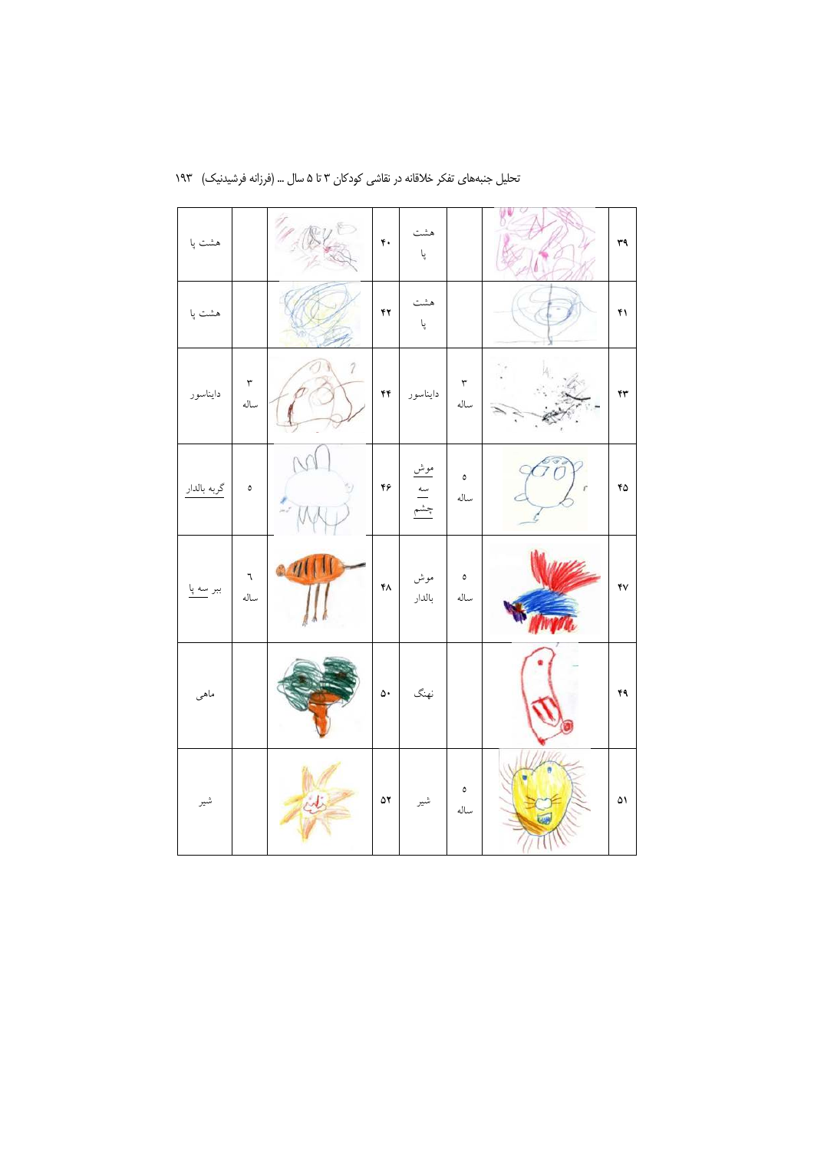| هشت پا      |                              |               | $\mathfrak{r}$ .        | هشت<br>پا               |                       |    | ٣٩ |
|-------------|------------------------------|---------------|-------------------------|-------------------------|-----------------------|----|----|
| هشت پا      |                              |               | ۴۲                      | هشت<br>پا               |                       |    | ۴۱ |
| دايناسور    | $\mathbf{\breve{r}}$<br>ساله | $\mathcal{I}$ | ۴۴                      | دايناسور                | ٣<br>ساله             |    | ۴۳ |
| گربه بالدار | $\mathsf{o}\,$               |               | ۴۶                      | <u>موش</u><br>سه<br>چشم | $\pmb{\circ}$<br>ساله |    | ۴۵ |
| ببر سه پا   | ٦<br>ساله                    | $\eta$        | ۴۸                      | موش<br>بالدار           | ٥<br>ساله             | LЬ | ۴٧ |
| ماهى        |                              |               | $\mathsf{\Delta} \star$ | نهنگ                    |                       |    | ۴۹ |
| شير         |                              |               | ۵۲                      | شير                     | $\pmb{\circ}$<br>ساله |    | ۵۱ |

تحلیل جنبههای تفکر خلاقانه در نقاشی کودکان ۳ تا ۵ سال ... (فرزانه فرشیدنیک) ۱۹۳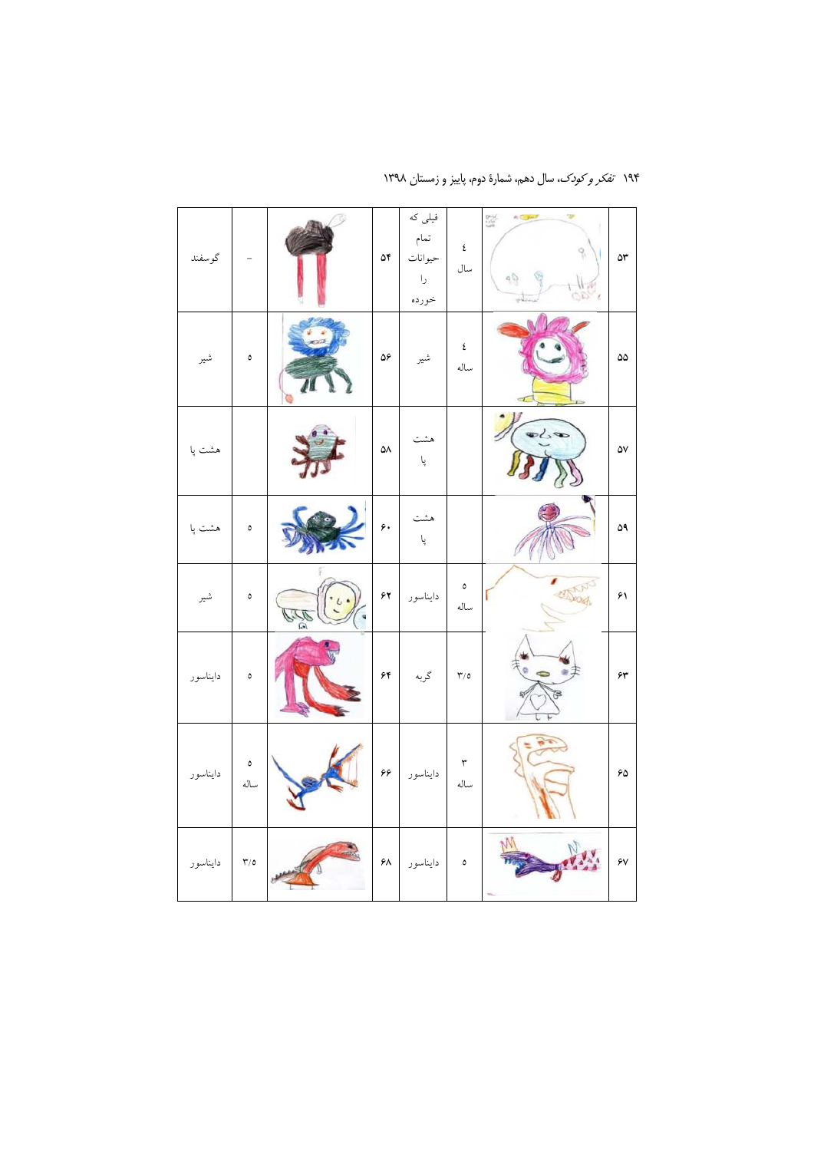| دايناسور                | دايناسور                           | دايناسور                          | شير                                             | هشت پا    | هشت پا    | شير       | گوسفند                                    |
|-------------------------|------------------------------------|-----------------------------------|-------------------------------------------------|-----------|-----------|-----------|-------------------------------------------|
| $\mathbf{r}/\mathbf{0}$ | $\pmb{\circ}$<br>ساله              | ٥                                 | ٥                                               | ٥         |           | ٥         |                                           |
|                         |                                    |                                   | $U^*$<br>$\ddot{\phantom{0}}$<br>J)<br>$\Omega$ |           |           |           |                                           |
| ۶۸                      | $\hat{\mathbf{y}}\hat{\mathbf{y}}$ | $\hat{\gamma}$                    | $\gamma$                                        | ۶,        | ۵۸        | ۵۶        | ۵۴                                        |
| دايناسور                | دايناسور                           | گربه                              | دايناسور                                        | هشت<br>پا | هشت<br>پا | شير       | فیلی که<br>تمام<br>حيوانات<br>را<br>خورده |
| $\pmb{\circ}$           | ٣<br>ساله                          | $\mathbf{Y}^{\prime }/\mathbf{0}$ | $\pmb{\circ}$<br>ساله                           |           |           | ٤<br>ساله | ٤<br>سال                                  |
| y,                      |                                    | ō                                 |                                                 |           | $\bullet$ |           | 9. P                                      |
| ۶V                      | ۶۵                                 | ۶۳                                | ۶۱                                              | ۵۹        | ۵٧        | ۵۵        | ۵٣                                        |

۱۹۴ تف*کر و کودک*، سال دهم، شمارهٔ دوم، پاییز و زمستان ۱۳۹۸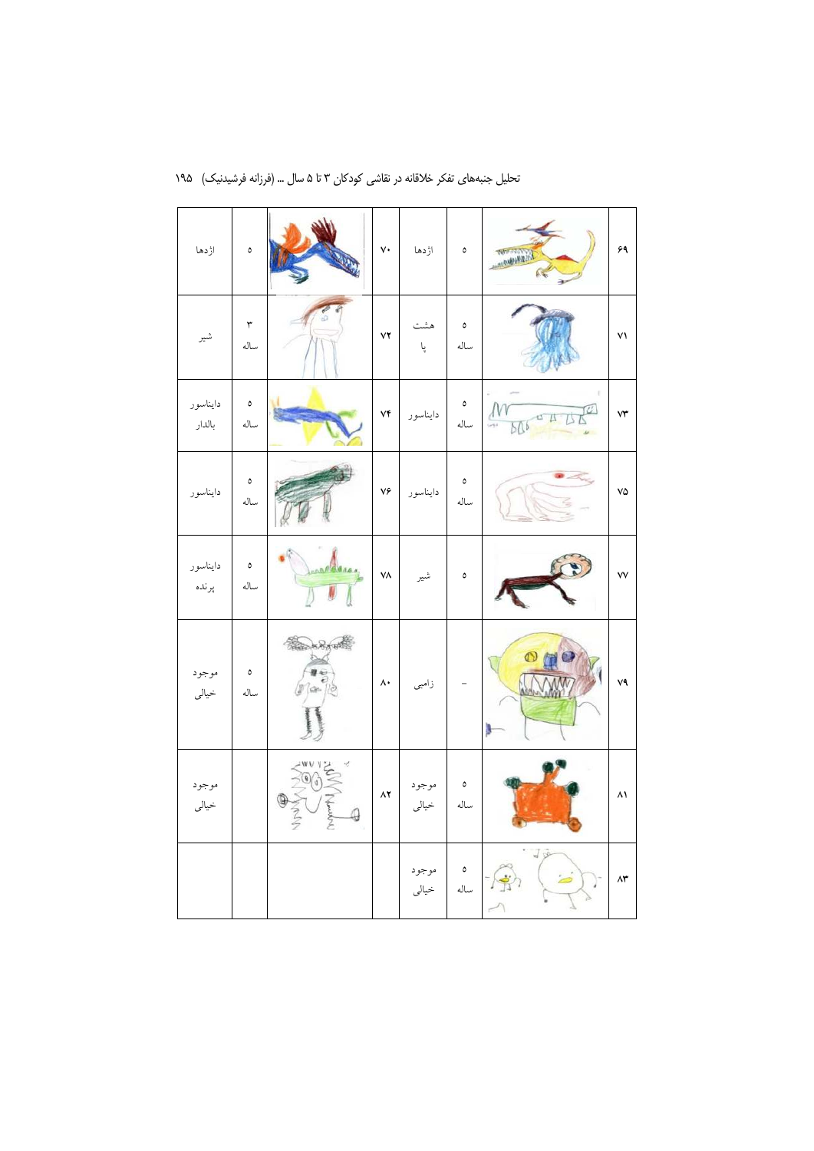| اؤدها              | $\pmb{\circ}$         |                                          | $\mathsf{v}\mathsf{\cdot}$ | اژدها          | ٥              | Kornenter                                                                             | ۶۹             |
|--------------------|-----------------------|------------------------------------------|----------------------------|----------------|----------------|---------------------------------------------------------------------------------------|----------------|
| شير                | ٣<br>ساله             |                                          | $\mathsf{Y}\mathsf{Y}$     | هشت<br>پا      | ٥<br>ساله      |                                                                                       | ۷١             |
| دايناسور<br>بالدار | ٥<br>ساله             |                                          | ۷۴                         | دايناسور       | ٥<br>ساله      | $\varnothing$<br>$\sqrt{M}$<br>$\sqrt{4}$<br><b>BK</b><br>$\frac{1}{\sqrt{2}}$<br>506 | ۷۳             |
| دايناسور           | ٥<br>ساله             |                                          | ٧۶                         | دايناسور       | ٥<br>ساله      |                                                                                       | ٧۵             |
| دايناسور<br>پرنده  | $\pmb{\circ}$<br>ساله | Alaga                                    | ٧٨                         | شير            | $\mathsf{o}\,$ |                                                                                       | ٧V             |
| موجود<br>خيالى     | $\pmb{\circ}$<br>ساله | <b>REDARATE</b><br>b                     | $\wedge\cdot$              | زامبى          |                |                                                                                       | ٧٩             |
| موجود<br>خيالى     |                       | 悖<br>v<br>۱ż<br>Christian<br>$\bigoplus$ | $\mathsf{A}\mathsf{Y}$     | موجود<br>خيالى | ٥<br>ساله      |                                                                                       | ۸۱             |
|                    |                       |                                          |                            | موجود<br>خيالى | ٥<br>ساله      | ×,<br>$\frac{1}{2}$                                                                   | $\Lambda \tau$ |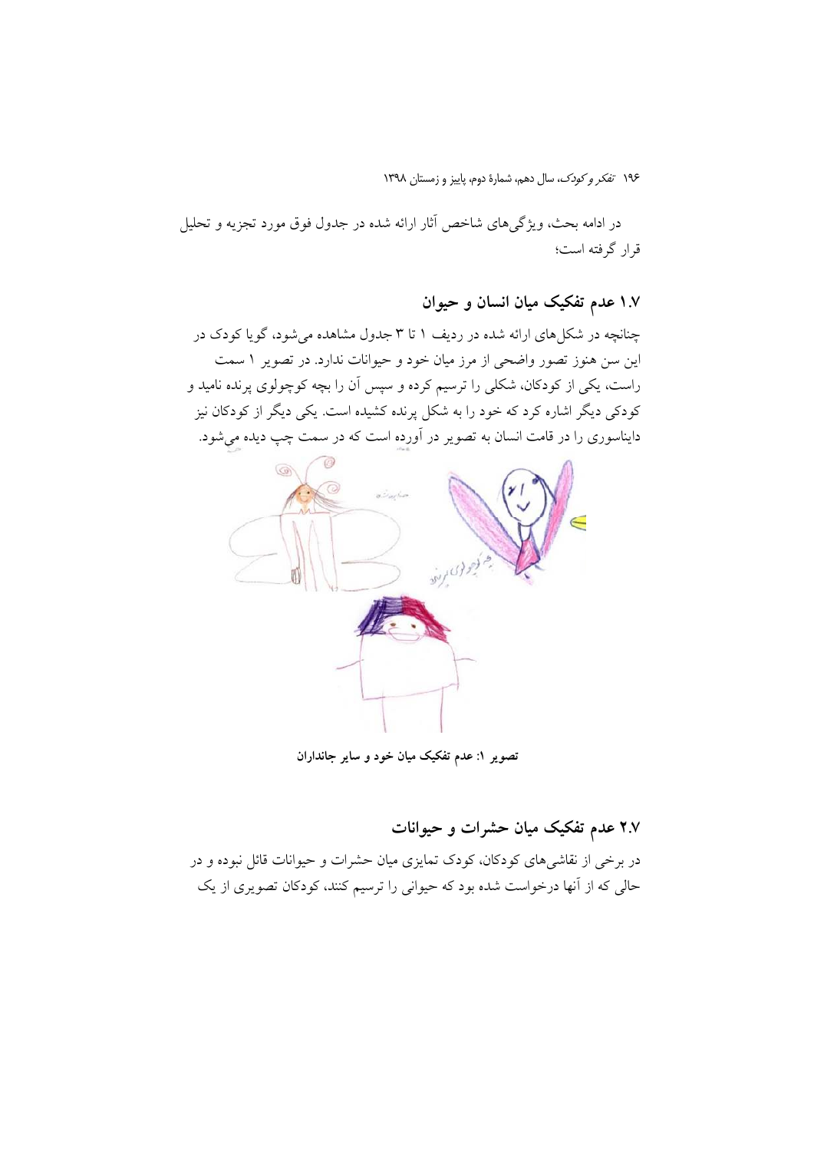در ادامه بحث، ویژگیهای شاخص آثار ارائه شده در جدول فوق مورد تجزیه و تحلیل قرار گرفته است؛

۱.۷ عدم تفکیک میان انسان و حیوان

چنانچه در شکل های ارائه شده در ردیف ۱ تا ۳ جدول مشاهده می شود، گویا کودک در این سن هنوز تصور واضحی از مرز میان خود و حیوانات ندارد. در تصویر ۱ سمت راست، یکی از کودکان، شکلی را ترسیم کرده و سپس آن را بچه کوچولوی پرنده نامید و کودکی دیگر اشاره کرد که خود را به شکل پرنده کشیده است. یکی دیگر از کودکان نیز دایناسوری را در قامت انسان به تصویر در آورده است که در سمت چپ دیده میشود.



تصوير ١: عدم تفكيك ميان خود و ساير جانداران

۲.۷ عدم تفکیک میان حشرات و حیوانات

در برخی از نقاشیهای کودکان، کودک تمایزی میان حشرات و حیوانات قائل نبوده و در حالی که از آنها درخواست شده بود که حیوانی را ترسیم کنند، کودکان تصویری از یک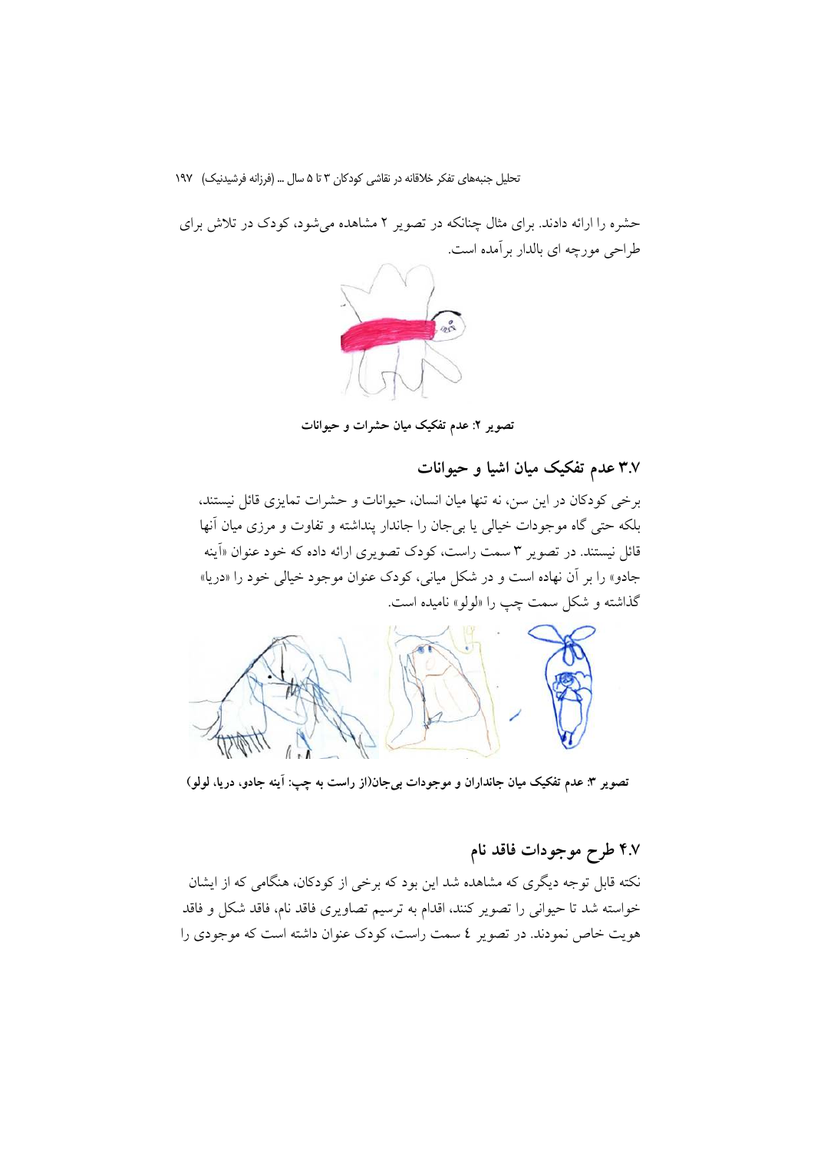حشره را ارائه دادند. برای مثال چنانکه در تصویر ۲ مشاهده می شود، کودک در تلاش برای طراحی مورجه ای بالدار بر آمده است.



تصویر ۲: عدم تفکیک میان حشرات و حیوانات

۳.۷ عدم تفکیک میان اشیا و حیوانات

برخی کودکان در این سن، نه تنها میان انسان، حیوانات و حشرات تمایزی قائل نیستند، بلکه حتی گاه موجودات خیالی یا بیجان را جاندار پنداشته و تفاوت و مرزی میان آنها قائل نیستند. در تصویر ۳ سمت راست، کودک تصویری ارائه داده که خود عنوان «اَینه جادو» را بر آن نهاده است و در شکل میانی، کودک عنوان موجود خیالی خود را «دریا» گذاشته و شکل سمت چپ را «لولو» نامیده است.



تصویر ۳: عدم تفکیک میان جانداران و موجودات بی جان(از راست به چپ: آینه جادو، دریا، لولو)

# ۴.۷ طرح موجودات فاقد نام

نکته قابل توجه دیگری که مشاهده شد این بود که برخی از کودکان، هنگامی که از ایشان خواسته شد تا حیوانی را تصویر کنند، اقدام به ترسیم تصاویری فاقد نام، فاقد شکل و فاقد هويت خاص نمودند. در تصوير ٤ سمت راست، كودك عنوان داشته است كه موجودي را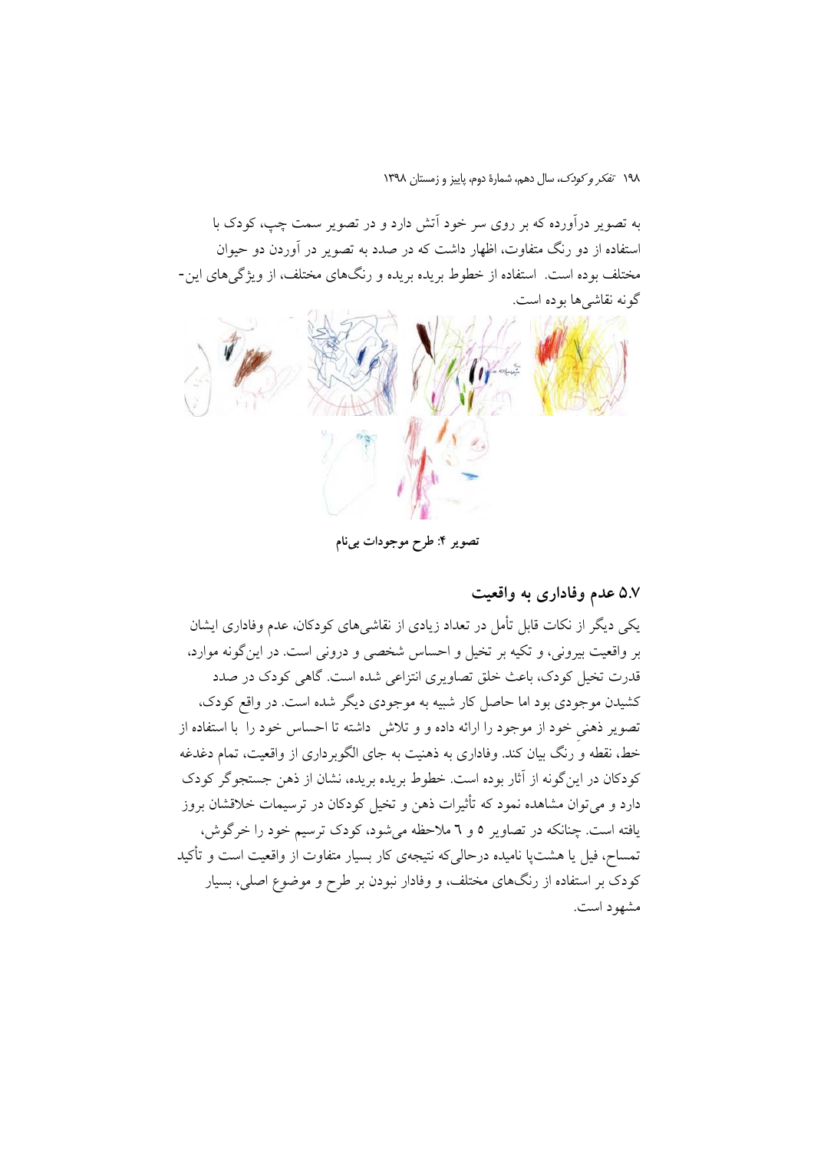به تصویر درآورده که بر روی سر خود آتش دارد و در تصویر سمت چپ، کودک با استفاده از دو رنگ متفاوت، اظهار داشت که در صدد به تصویر در آوردن دو حبوان مختلف بوده است. استفاده از خطوط بریده بریده و رنگهای مختلف، از ویژگیهای این-گونه نقاشی ها بو ده است.



تصوير ۴: طرح موجودات بيiام

۵.۷ عدم وفاداری به واقعیت

یکی دیگر از نکات قابل تأمل در تعداد زیادی از نقاشی های کودکان، عدم وفاداری ایشان بر واقعیت بیرونی، و تکیه بر تخیل و احساس شخصی و درونی است. در این گونه موارد، قدرت تخیل کودک، باعث خلق تصاویری انتزاعی شده است. گاهی کودک در صدد کشیدن موجودی بود اما حاصل کار شبیه به موجودی دیگر شده است. در واقع کودک، تصویر ذهنی خود از موجود را ارائه داده و و تلاش داشته تا احساس خود را با استفاده از خط، نقطه و رنگ بیان کند. وفاداری به ذهنیت به جای الگوبرداری از واقعیت، تمام دغدغه كودكان در اين گونه از آثار بوده است. خطوط بريده بريده، نشان از ذهن جستجوگر كودك دارد و می توان مشاهده نمود که تأثیرات ذهن و تخیل کودکان در ترسیمات خلاقشان بروز یافته است. چنانکه در تصاویر ٥ و ٦ ملاحظه می شود، کودک ترسیم خود را خرگوش، تمساح، فیل یا هشتپا نامیده درحالی که نتیجهی کار بسیار متفاوت از واقعیت است و تأکید کودک بر استفاده از رنگهای مختلف، و وفادار نبودن بر طرح و موضوع اصلی، بسیار مشهود است.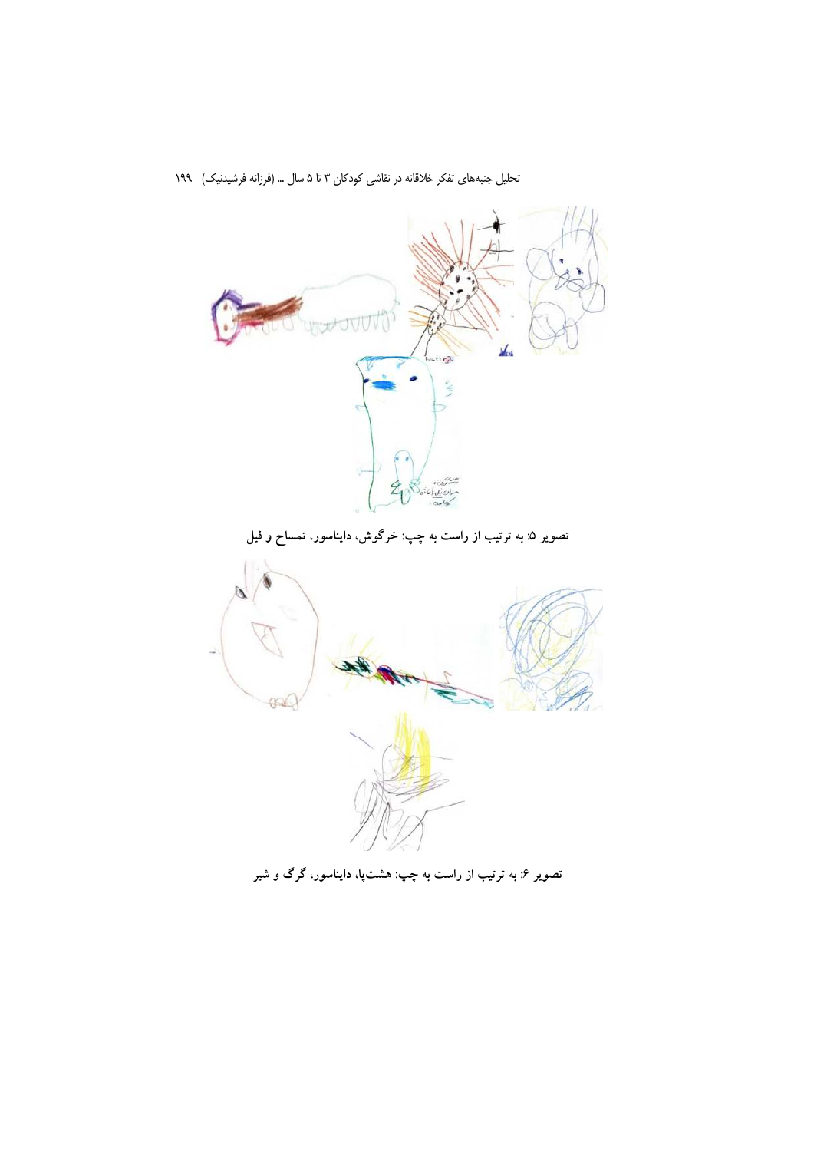

تصویر ۶: به ترتیب از راست به چپ: هشت $\mathfrak{p}$ ، دایناسور، گرگ و شیر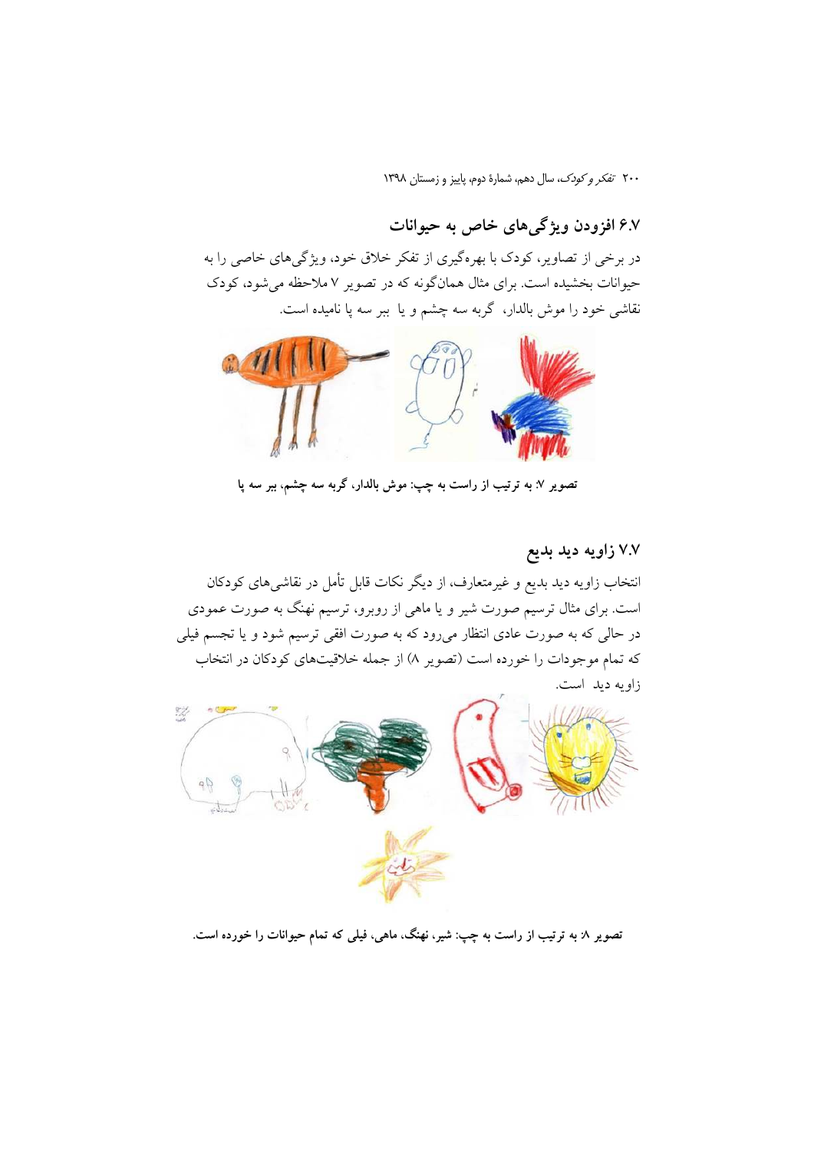# ۶.۷ افزودن ویژگی های خاص به حیوانات

در برخی از تصاویر، کودک با بهرهگیری از تفکر خلاق خود، ویژگیهای خاصی را به حیوانات بخشیده است. برای مثال همانگونه که در تصویر ۷ ملاحظه میشود، کودک نقاشی خود را موش بالدار، گربه سه چشم و یا ببر سه پا نامیده است.



تصویر ۷: به ترتیب از راست به چپ: موش بالدار، گربه سه چشم، ببر سه پا

٧.٧ زاويه ديد بديع انتخاب زاویه دید بدیع و غیرمتعارف، از دیگر نکات قابل تأمل در نقاشی های کودکان است. برای مثال ترسیم صورت شیر و یا ماهی از روبرو، ترسیم نهنگ به صورت عمودی در حالی که به صورت عادی انتظار میرود که به صورت افقی ترسیم شود و یا تجسم فیلی که تمام موجودات را خورده است (تصویر ۸) از جمله خلاقیتهای کودکان در انتخاب زاويه ديد است.



تصویر ۸ به ترتیب از راست به چپ: شیر، نهنگ، ماهی، فیلی که تمام حیوانات را خورده است.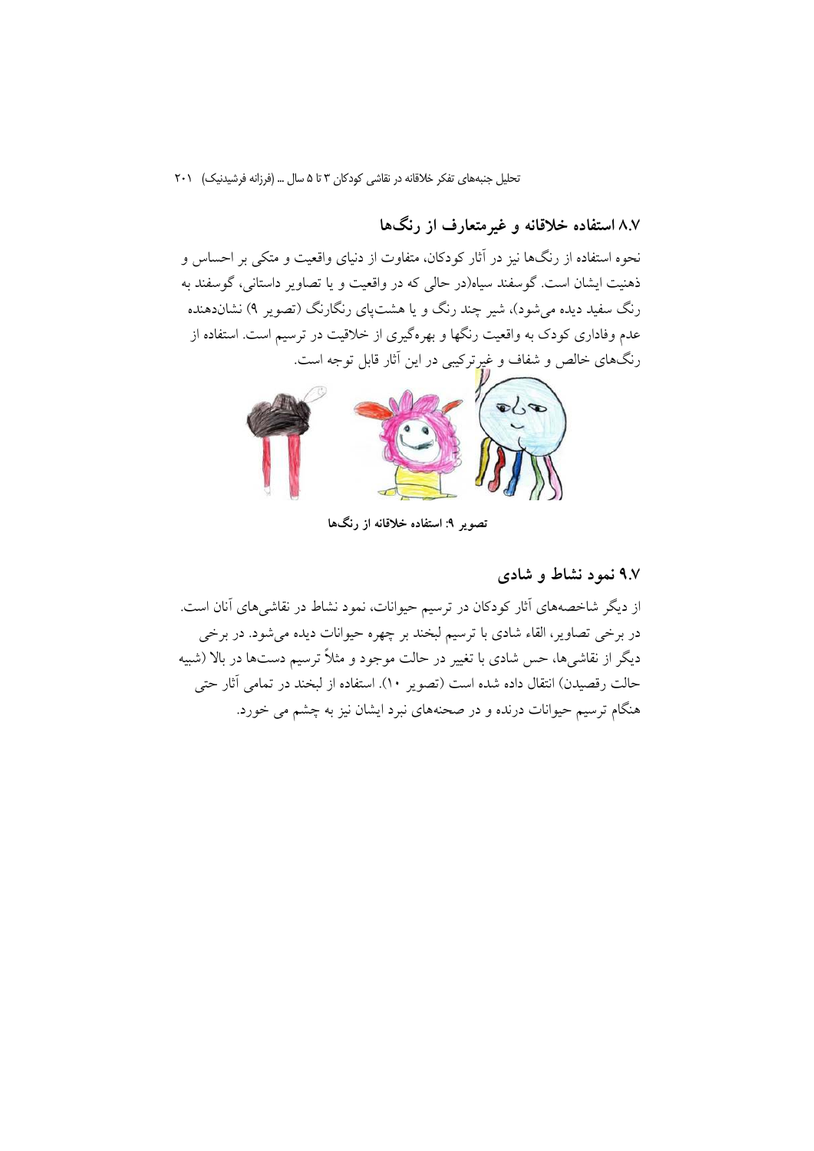۸.۷ استفاده خلاقانه و غیر متعارف از رنگها

نحوه استفاده از رنگها نیز در آثار کودکان، متفاوت از دنیای واقعیت و متکی بر احساس و ذهنیت ایشان است. گوسفند سیاه(در حالی که در واقعیت و یا تصاویر داستانی، گوسفند به رنگ سفید دیده می شود)، شیر چند رنگ و یا هشتیای رنگارنگ (تصویر ۹) نشاندهنده عدم وفاداری کودک به واقعیت رنگها و بهرهگیری از خلاقیت در ترسیم است. استفاده از رنگهای خالص و شفاف و غیرترکیبی در این آثار قابل توجه است.



تصویر ۹: استفاده خلاقانه از رنگها

#### ۹.۷ نمود نشاط و شادی

از دیگر شاخصههای آثار کودکان در ترسیم حیوانات، نمود نشاط در نقاشیهای آنان است. در برخی تصاویر، القاء شادی با ترسیم لبخند بر چهره حیوانات دیده میشود. در برخی دیگر از نقاشیها، حس شادی با تغییر در حالت موجود و مثلاً ترسیم دستها در بالا (شبیه حالت رقصیدن) انتقال داده شده است (تصویر ۱۰). استفاده از لبخند در تمامی آثار حتی هنگام ترسیم حیوانات درنده و در صحنههای نبرد ایشان نیز به چشم می خورد.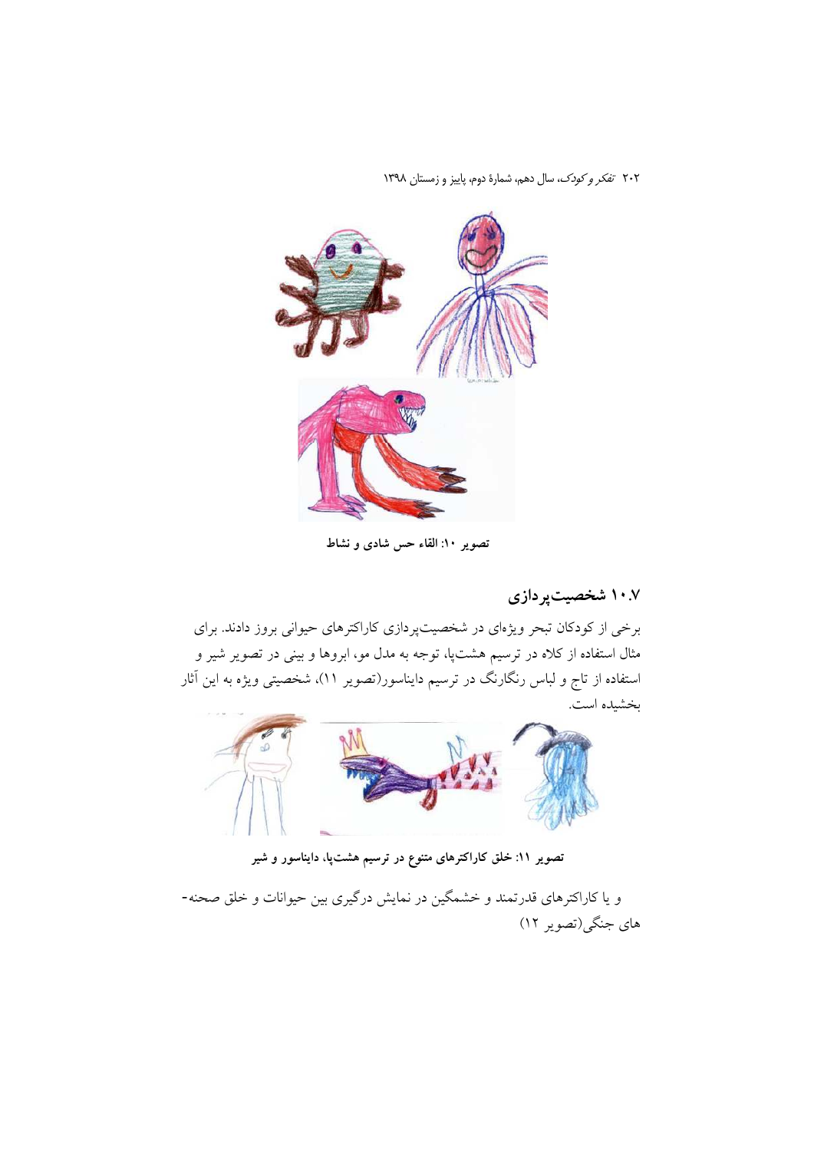

تصویر ۱۰: القاء حس شادی و نشاط

۱۰.۷ شخصیتپردازی

برخی از کودکان تبحر ویژهای در شخصیتپردازی کاراکترهای حیوانی بروز دادند. برای مثال استفاده از کلاه در ترسیم هشتپا، توجه به مدل مو، ابروها و بینی در تصویر شیر و استفاده از تاج و لباس رنگارنگ در ترسیم دایناسور(تصویر ۱۱)، شخصیتی ویژه به این آثار بخشيده است.



تصویر ۱۱: خلق کاراکترهای متنوع در ترسیم هشتپا، دایناسور و شیر

و یا کاراکترهای قدرتمند و خشمگین در نمایش درگیری بین حیوانات و خلق صحنه-های جنگی(تصویر ۱۲)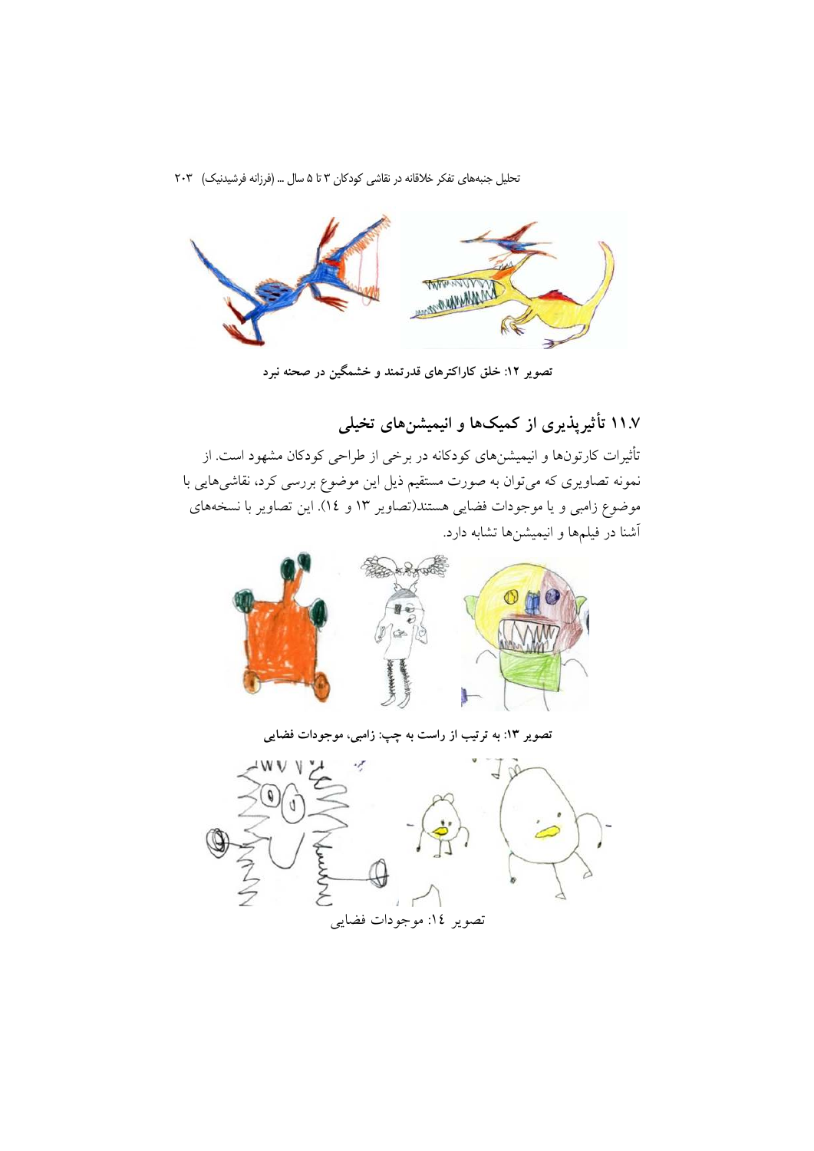

تصویر ۱۲: خلق کاراکترهای قدرتمند و خشمگین در صحنه نبرد

۱۱.۷ تأثیرپذیری از کمیکها و انیمیشنهای تخیلی

تأثیرات کارتونها و انیمیشنهای کودکانه در برخی از طراحی کودکان مشهود است. از نمونه تصاویری که میتوان به صورت مستقیم ذیل این موضوع بررسی کرد، نقاشیهایی با موضوع زامبی و یا موجودات فضایی هستند(تصاویر ۱۳ و ۱۶). این تصاویر با نسخههای آشنا در فیلمها و انیمیشنها تشابه دارد.



تصویر ۱۳: به ترتیب از راست به چپ: زامبی، موجودات فضایی

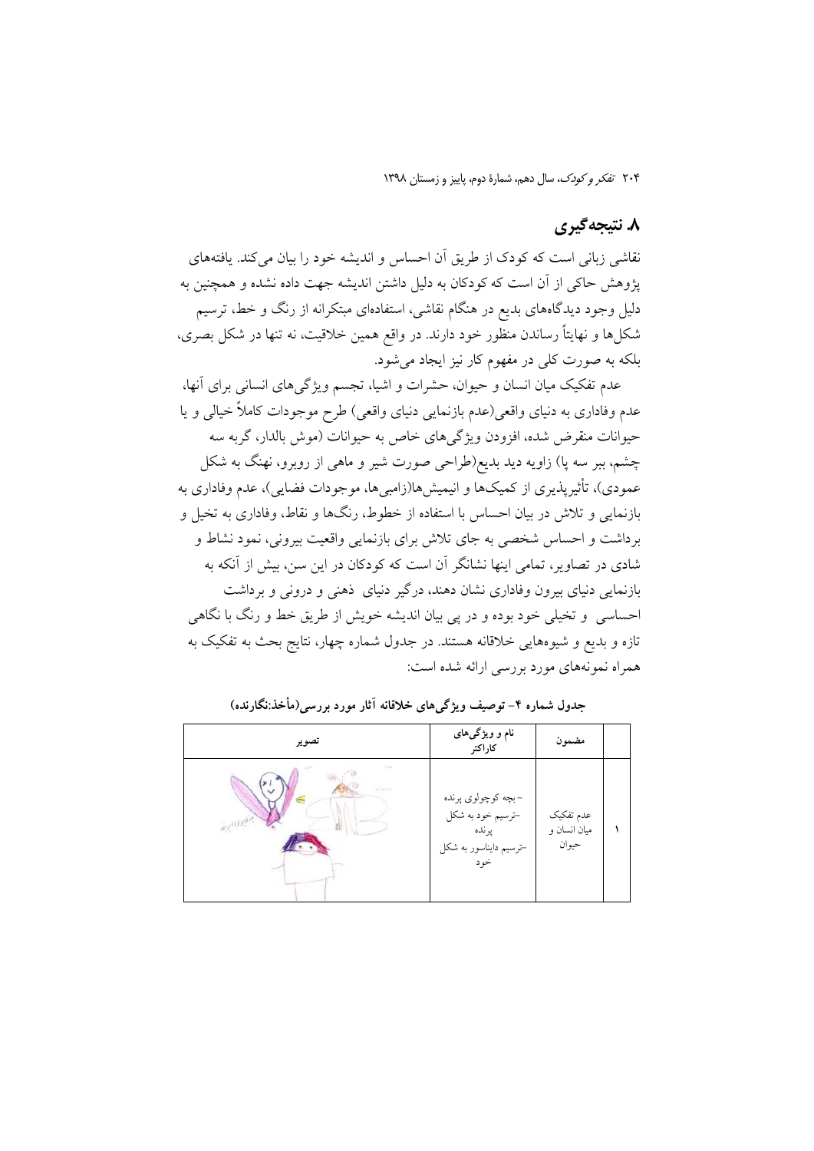## ۸. نتیجه گیری

نقاشی زبانی است که کودک از طریق آن احساس و اندیشه خود را بیان میکند. یافتههای پژوهش حاکی از آن است که کودکان به دلیل داشتن اندیشه جهت داده نشده و همچنین به دلیل وجود دیدگاههای بدیع در هنگام نقاشی، استفادهای مبتکرانه از رنگ و خط، ترسیم شکلها و نهایتاً رساندن منظور خود دارند. در واقع همین خلاقیت، نه تنها در شکل بصری، بلکه به صورت کلی در مفهوم کار نیز ایجاد می شود.

عدم تفکیک میان انسان و حیوان، حشرات و اشیا، تجسم ویژگی های انسانی برای آنها، عدم وفاداری به دنیای واقعی(عدم بازنمایی دنیای واقعی) طرح موجودات کاملاً خیالی و یا حیوانات منقرض شده، افزودن ویژگیهای خاص به حیوانات (موش بالدار، گربه سه چشم، ببر سه پا) زاویه دید بدیع(طراحی صورت شیر و ماهی از روبرو، نهنگ به شکل عمودي)، تأثير يذيري از كميكها و انيميشها(زامبيها، موجودات فضايي)، عدم وفاداري به بازنمایی و تلاش در بیان احساس با استفاده از خطوط، رنگها و نقاط، وفاداری به تخیل و برداشت و احساس شخصی به جای تلاش برای بازنمایی واقعیت بیرونی، نمود نشاط و شادی در تصاویر، تمامی اینها نشانگر آن است که کودکان در این سن، بیش از آنکه به بازنمایی دنیای بیرون وفاداری نشان دهند، درگیر دنیای ذهنی و درونی و برداشت احساسی و تخیلی خود بوده و در پی بیان اندیشه خویش از طریق خط و رنگ با نگاهی تازه و بدیع و شیوههایی خلاقانه هستند. در جدول شماره چهار، نتایج بحث به تفکیک به همراه نمونههای مورد بررسی ارائه شده است:

| تصوير | نام و ویژگیهای<br>كاراكتر                                                          | مضمون                              |  |
|-------|------------------------------------------------------------------------------------|------------------------------------|--|
|       | –بچه کوچولوي پرنده<br>-ترسیم خود به شکل<br>پرنده<br>–ترسیم دایناسور به شکل<br>خو د | عدم تفكيك<br>میان انسان و<br>حيوان |  |

جدول شماره ۴– توصیف ویژگی های خلاقانه آثار مورد بررسی(مأخذ:نگارنده)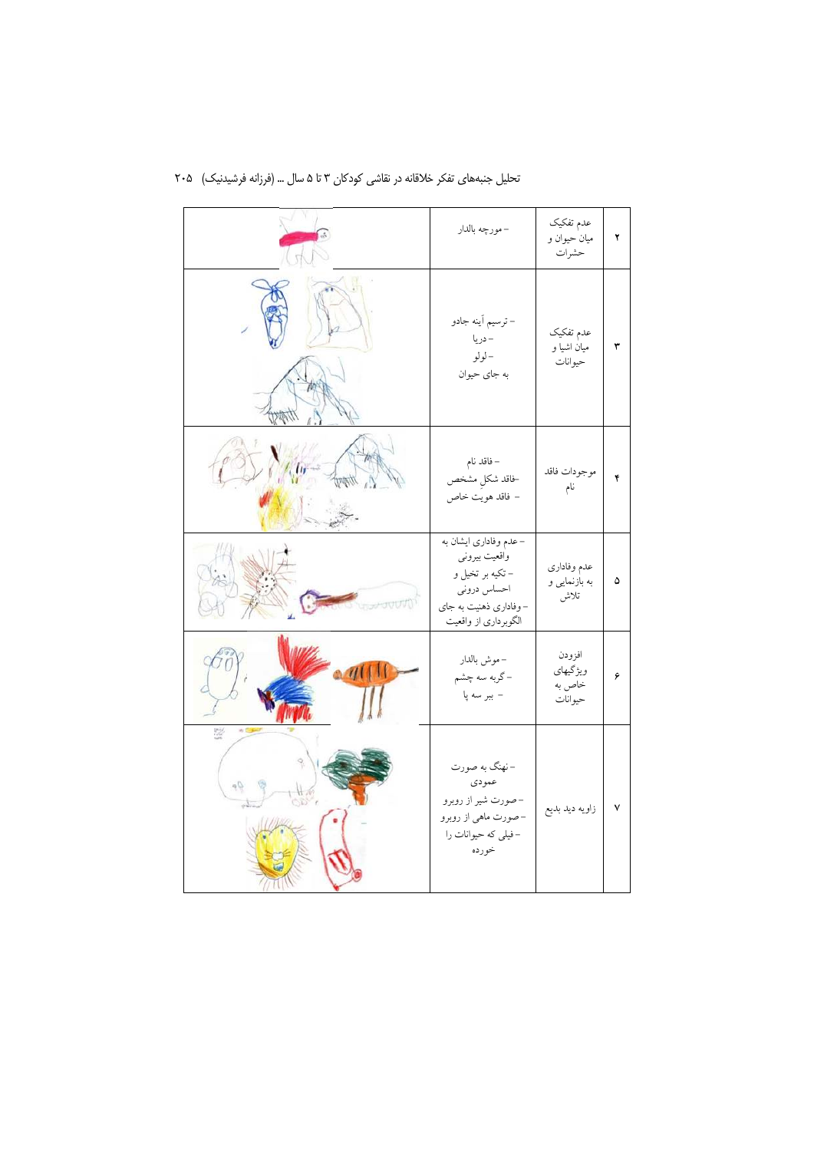|    | – مورچه بالدار                                                                                                              | عدم تفكيك<br>ميان حيوان و<br>حشرات      | ۲ |
|----|-----------------------------------------------------------------------------------------------------------------------------|-----------------------------------------|---|
|    | – ترسیم اَینه جادو<br>– دريا<br>– لولو<br>به جای حیوان                                                                      | عدم تفكيك<br>میان اشیا و<br>حيوانات     | ٣ |
|    | – فاقد نام<br>خاقد شكل مشخص<br>– فاقد هويت خاص                                                                              | موجودات فاقد<br>نام                     | ۴ |
|    | – عدم وفاداری ایشان به<br>واقعیت بیرونی<br>– تکیه بر تخیل و<br>احساس دروني<br>-وفاداری ذهنیت به جای<br>الگوبرداری از واقعیت | عدم وفاداري<br>به بازنمایی و<br>تلاش    | ۵ |
|    | – موش بالدار<br>-گربه سه چشم<br>– ببر سه پا                                                                                 | افزودن<br>ويژگيهاي<br>خاص به<br>حيوانات | ۶ |
| 40 | -نهنگ به صورت<br>عمودي<br>-صورت شير از روبرو<br>–صورت ماهي از روبرو<br>-فیلی که حیوانات را<br>خورده                         | زاويه ديد بديع                          | ٧ |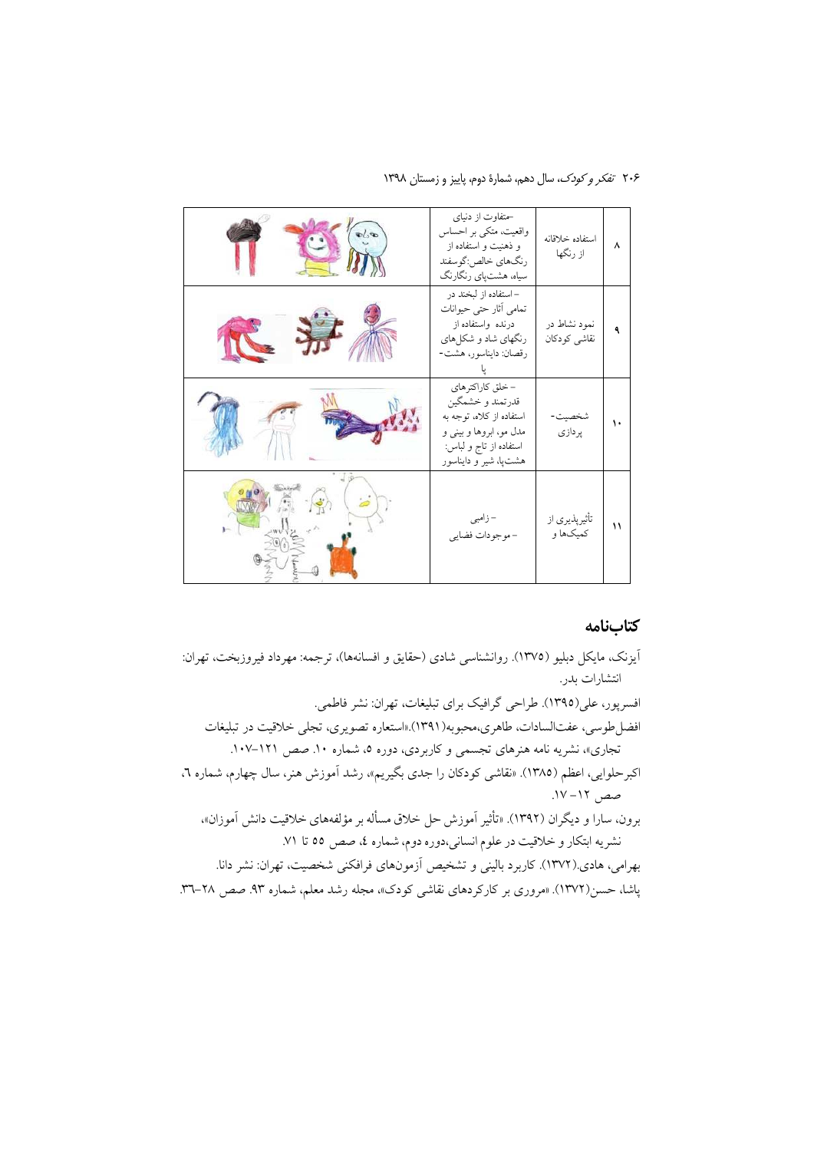۲۰۶ تفکر و کودک، سال دهم، شمارهٔ دوم، پاییز و زمستان ۱۳۹۸

| $\mathcal{L}$ | حتفاوت از دنیای<br>واقعیت، متکی بر احساس<br>و ذهنیت و استفاده از<br>رنگهاي خالص:گوسفند<br>سیاه، هشتپای رنگارنگ                                | استفاده خلاقانه<br>از رنگها  | ٨  |
|---------------|-----------------------------------------------------------------------------------------------------------------------------------------------|------------------------------|----|
|               | – استفاده از لبخند در<br>تمامی آثار حتی حیوانات<br>درنده واستفاده از<br>رنگهای شاد و شکلهای<br>رقصان: دايناسور، هشت-                          | نمود نشاط در<br>نقاشى كودكان |    |
|               | -خلق كاراكترهاي<br>قدرتمند و خشمگین<br>استفاده از کلاه، توجه به<br>مدل مو، ابروها و بيني و<br>استفاده از تاج و لباس:<br>هشتپا، شیر و دایناسور | شخصيت-<br>پردازي             | ١. |
|               | – زامبی<br>- موجودات فضايي                                                                                                                    | تأثيرپذيري از<br>کمیکها و    | ۱۱ |

#### كتابنامه

آیزنک، مایکل دبلیو (١٣٧٥). روانشناسی شادی (حقایق و افسانهها)، ترجمه: مهرداد فیروزبخت، تهران: انتشارات بدر. افسرپور، علی(١٣٩٥). طراحی گرافیک برای تبلیغات، تهران: نشر فاطمی. افضل طوسی، عفتالسادات، طاهری،محبوبه(١٣٩١).«استعاره تصویری، تجلی خلاقیت در تبلیغات تجاری»، نشریه نامه هنرهای تجسمی و کاربردی، دوره ۵، شماره ۱۰. صص ۱۲۱–۱۰۷. اکبرحلوایی، اعظم (۱۳۸۵). «نقاشی کودکان را جدی بگیریم»، رشد آموزش هنر، سال چهارم، شماره ٦، صص ١٢- ١٧. برون، سارا و دیگران (۱۳۹۲). «تأثیر آموزش حل خلاق مسأله بر مؤلفههای خلاقیت دانش آموزان»، نشريه ابتكار و خلاقيت در علوم انساني،دوره دوم، شماره ٤، صص ٥٥ تا ٧١. بهرامی، هادی.(۱۳۷۲). کاربرد بالینی و تشخیص آزمونهای فرافکنی شخصیت، تهران: نشر دانا. پاشا، حسن(۱۳۷۲). «مروری بر کارکردهای نقاشی کودک»، مجله رشد معلم، شماره ۹۳. صص ۲۸–۳۳.